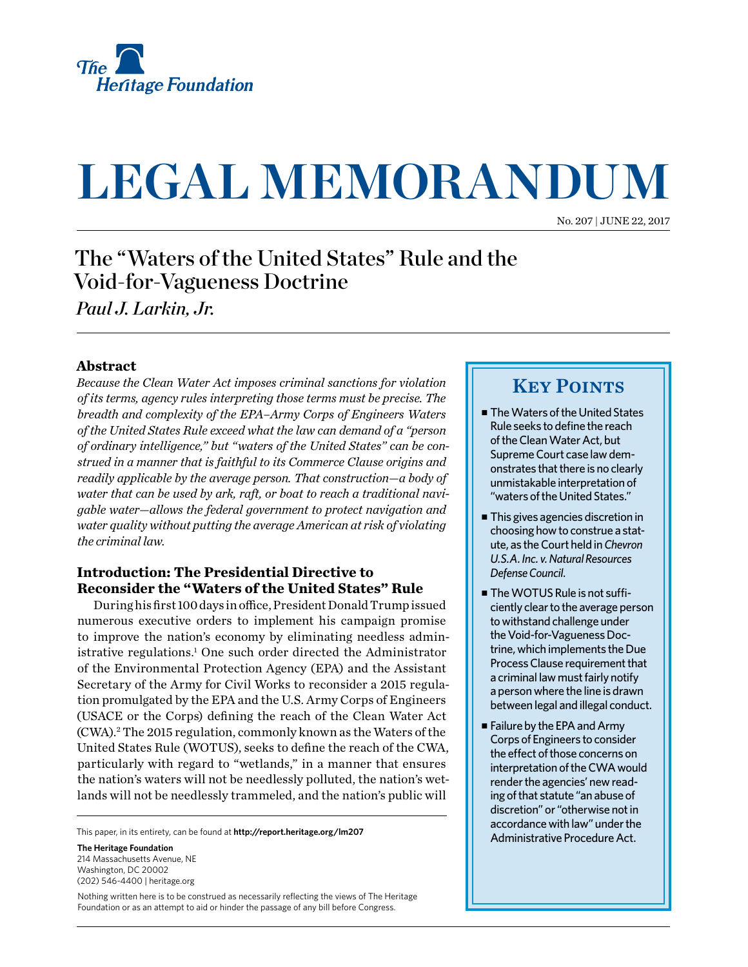

# **LEGAL MEMORANDUM**

No. 207 | June 22, 2017

## The "Waters of the United States" Rule and the Void-for-Vagueness Doctrine

*Paul J. Larkin, Jr.*

#### **Abstract**

*Because the Clean Water Act imposes criminal sanctions for violation of its terms, agency rules interpreting those terms must be precise. The breadth and complexity of the EPA–Army Corps of Engineers Waters of the United States Rule exceed what the law can demand of a "person of ordinary intelligence," but "waters of the United States" can be construed in a manner that is faithful to its Commerce Clause origins and readily applicable by the average person. That construction—a body of water that can be used by ark, raft, or boat to reach a traditional navigable water—allows the federal government to protect navigation and water quality without putting the average American at risk of violating the criminal law.*

#### **Introduction: The Presidential Directive to Reconsider the "Waters of the United States" Rule**

During his first 100 days in office, President Donald Trump issued numerous executive orders to implement his campaign promise to improve the nation's economy by eliminating needless administrative regulations.<sup>1</sup> One such order directed the Administrator of the Environmental Protection Agency (EPA) and the Assistant Secretary of the Army for Civil Works to reconsider a 2015 regulation promulgated by the EPA and the U.S. Army Corps of Engineers (USACE or the Corps) defining the reach of the Clean Water Act (CWA).2 The 2015 regulation, commonly known as the Waters of the United States Rule (WOTUS), seeks to define the reach of the CWA, particularly with regard to "wetlands," in a manner that ensures the nation's waters will not be needlessly polluted, the nation's wetlands will not be needlessly trammeled, and the nation's public will

This paper, in its entirety, can be found at **[http://report.heritage.org](http://www.heritage.org/research)/lm207**

**The Heritage Foundation** 214 Massachusetts Avenue, NF Washington, DC 20002 (202) 546-4400 | [heritage.org](http://www.heritage.org)

Nothing written here is to be construed as necessarily reflecting the views of The Heritage Foundation or as an attempt to aid or hinder the passage of any bill before Congress.

### **KEY POINTS**

- The Waters of the United States Rule seeks to define the reach of the Clean Water Act, but Supreme Court case law demonstrates that there is no clearly unmistakable interpretation of "waters of the United States."
- $\blacksquare$  This gives agencies discretion in choosing how to construe a statute, as the Court held in *Chevron U.S.A. Inc. v. Natural Resources Defense Council*.
- $\blacksquare$  The WOTUS Rule is not sufficiently clear to the average person to withstand challenge under the Void-for-Vagueness Doctrine, which implements the Due Process Clause requirement that a criminal law must fairly notify a person where the line is drawn between legal and illegal conduct.
- Failure by the EPA and Army Corps of Engineers to consider the effect of those concerns on interpretation of the CWA would render the agencies' new reading of that statute "an abuse of discretion" or "otherwise not in accordance with law" under the Administrative Procedure Act.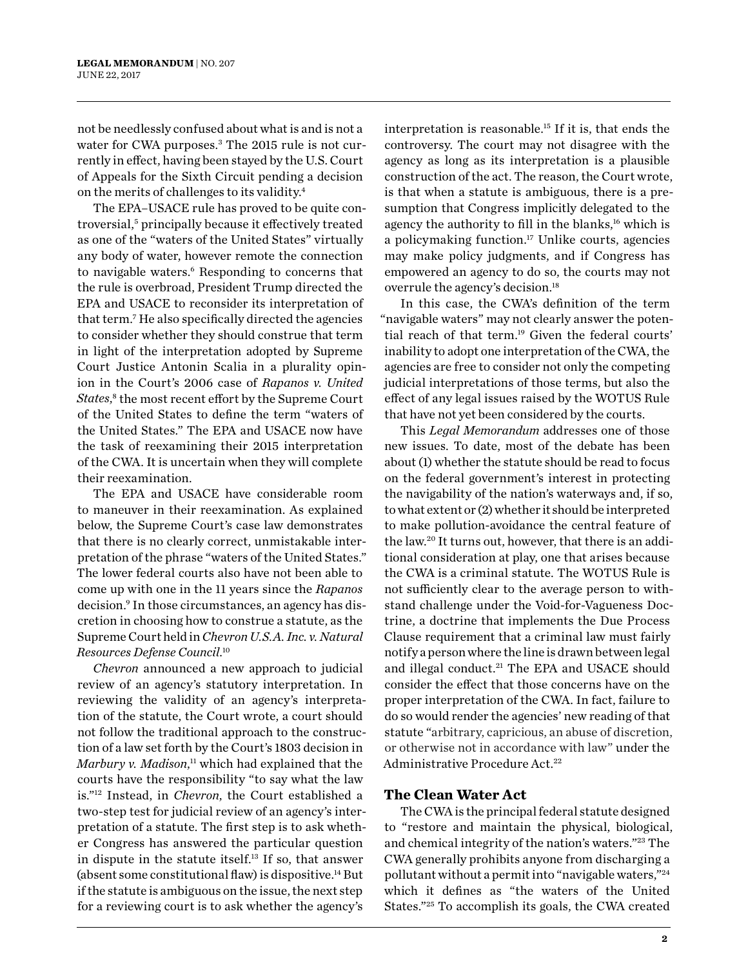not be needlessly confused about what is and is not a water for CWA purposes.<sup>3</sup> The 2015 rule is not currently in effect, having been stayed by the U.S. Court of Appeals for the Sixth Circuit pending a decision on the merits of challenges to its validity.4

The EPA–USACE rule has proved to be quite controversial,<sup>5</sup> principally because it effectively treated as one of the "waters of the United States" virtually any body of water, however remote the connection to navigable waters.<sup>6</sup> Responding to concerns that the rule is overbroad, President Trump directed the EPA and USACE to reconsider its interpretation of that term.7 He also specifically directed the agencies to consider whether they should construe that term in light of the interpretation adopted by Supreme Court Justice Antonin Scalia in a plurality opinion in the Court's 2006 case of *Rapanos v. United*  States,<sup>8</sup> the most recent effort by the Supreme Court of the United States to define the term "waters of the United States." The EPA and USACE now have the task of reexamining their 2015 interpretation of the CWA. It is uncertain when they will complete their reexamination.

The EPA and USACE have considerable room to maneuver in their reexamination. As explained below, the Supreme Court's case law demonstrates that there is no clearly correct, unmistakable interpretation of the phrase "waters of the United States." The lower federal courts also have not been able to come up with one in the 11 years since the *Rapanos* decision.9 In those circumstances, an agency has discretion in choosing how to construe a statute, as the Supreme Court held in *Chevron U.S.A. Inc. v. Natural Resources Defense Council*. 10

*Chevron* announced a new approach to judicial review of an agency's statutory interpretation. In reviewing the validity of an agency's interpretation of the statute, the Court wrote, a court should not follow the traditional approach to the construction of a law set forth by the Court's 1803 decision in *Marbury v. Madison*, 11 which had explained that the courts have the responsibility "to say what the law is."12 Instead, in *Chevron*, the Court established a two-step test for judicial review of an agency's interpretation of a statute. The first step is to ask whether Congress has answered the particular question in dispute in the statute itself.13 If so, that answer (absent some constitutional flaw) is dispositive.14 But if the statute is ambiguous on the issue, the next step for a reviewing court is to ask whether the agency's

interpretation is reasonable.<sup>15</sup> If it is, that ends the controversy. The court may not disagree with the agency as long as its interpretation is a plausible construction of the act. The reason, the Court wrote, is that when a statute is ambiguous, there is a presumption that Congress implicitly delegated to the agency the authority to fill in the blanks, $16$  which is a policymaking function.17 Unlike courts, agencies may make policy judgments, and if Congress has empowered an agency to do so, the courts may not overrule the agency's decision.18

In this case, the CWA's definition of the term "navigable waters" may not clearly answer the potential reach of that term.19 Given the federal courts' inability to adopt one interpretation of the CWA, the agencies are free to consider not only the competing judicial interpretations of those terms, but also the effect of any legal issues raised by the WOTUS Rule that have not yet been considered by the courts.

This *Legal Memorandum* addresses one of those new issues. To date, most of the debate has been about (1) whether the statute should be read to focus on the federal government's interest in protecting the navigability of the nation's waterways and, if so, to what extent or (2) whether it should be interpreted to make pollution-avoidance the central feature of the law.20 It turns out, however, that there is an additional consideration at play, one that arises because the CWA is a criminal statute. The WOTUS Rule is not sufficiently clear to the average person to withstand challenge under the Void-for-Vagueness Doctrine, a doctrine that implements the Due Process Clause requirement that a criminal law must fairly notify a person where the line is drawn between legal and illegal conduct.21 The EPA and USACE should consider the effect that those concerns have on the proper interpretation of the CWA. In fact, failure to do so would render the agencies' new reading of that statute "arbitrary, capricious, an abuse of discretion, or otherwise not in accordance with law" under the Administrative Procedure Act.<sup>22</sup>

#### **The Clean Water Act**

The CWA is the principal federal statute designed to "restore and maintain the physical, biological, and chemical integrity of the nation's waters."23 The CWA generally prohibits anyone from discharging a pollutant without a permit into "navigable waters,"24 which it defines as "the waters of the United States."25 To accomplish its goals, the CWA created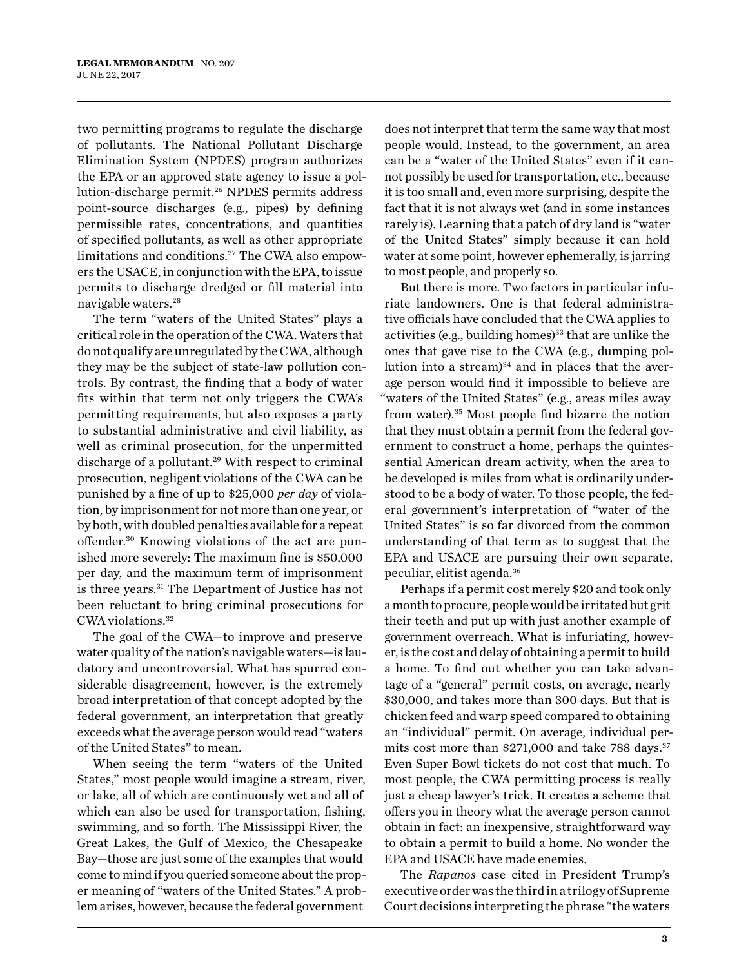two permitting programs to regulate the discharge of pollutants. The National Pollutant Discharge Elimination System (NPDES) program authorizes the EPA or an approved state agency to issue a pollution-discharge permit.<sup>26</sup> NPDES permits address point-source discharges (e.g., pipes) by defining permissible rates, concentrations, and quantities of specified pollutants, as well as other appropriate limitations and conditions.27 The CWA also empowers the USACE, in conjunction with the EPA, to issue permits to discharge dredged or fill material into navigable waters.28

The term "waters of the United States" plays a critical role in the operation of the CWA. Waters that do not qualify are unregulated by the CWA, although they may be the subject of state-law pollution controls. By contrast, the finding that a body of water fits within that term not only triggers the CWA's permitting requirements, but also exposes a party to substantial administrative and civil liability, as well as criminal prosecution, for the unpermitted discharge of a pollutant.<sup>29</sup> With respect to criminal prosecution, negligent violations of the CWA can be punished by a fine of up to \$25,000 *per day* of violation, by imprisonment for not more than one year, or by both, with doubled penalties available for a repeat offender.30 Knowing violations of the act are punished more severely: The maximum fine is \$50,000 per day, and the maximum term of imprisonment is three years.31 The Department of Justice has not been reluctant to bring criminal prosecutions for CWA violations.32

The goal of the CWA—to improve and preserve water quality of the nation's navigable waters—is laudatory and uncontroversial. What has spurred considerable disagreement, however, is the extremely broad interpretation of that concept adopted by the federal government, an interpretation that greatly exceeds what the average person would read "waters of the United States" to mean.

When seeing the term "waters of the United States," most people would imagine a stream, river, or lake, all of which are continuously wet and all of which can also be used for transportation, fishing, swimming, and so forth. The Mississippi River, the Great Lakes, the Gulf of Mexico, the Chesapeake Bay—those are just some of the examples that would come to mind if you queried someone about the proper meaning of "waters of the United States." A problem arises, however, because the federal government

does not interpret that term the same way that most people would. Instead, to the government, an area can be a "water of the United States" even if it cannot possibly be used for transportation, etc., because it is too small and, even more surprising, despite the fact that it is not always wet (and in some instances rarely is). Learning that a patch of dry land is "water of the United States" simply because it can hold water at some point, however ephemerally, is jarring to most people, and properly so.

But there is more. Two factors in particular infuriate landowners. One is that federal administrative officials have concluded that the CWA applies to activities (e.g., building homes)<sup>33</sup> that are unlike the ones that gave rise to the CWA (e.g., dumping pollution into a stream) $34$  and in places that the average person would find it impossible to believe are "waters of the United States" (e.g., areas miles away from water).35 Most people find bizarre the notion that they must obtain a permit from the federal government to construct a home, perhaps the quintessential American dream activity, when the area to be developed is miles from what is ordinarily understood to be a body of water. To those people, the federal government's interpretation of "water of the United States" is so far divorced from the common understanding of that term as to suggest that the EPA and USACE are pursuing their own separate, peculiar, elitist agenda.36

Perhaps if a permit cost merely \$20 and took only a month to procure, people would be irritated but grit their teeth and put up with just another example of government overreach. What is infuriating, however, is the cost and delay of obtaining a permit to build a home. To find out whether you can take advantage of a "general" permit costs, on average, nearly \$30,000, and takes more than 300 days. But that is chicken feed and warp speed compared to obtaining an "individual" permit. On average, individual permits cost more than  $$271,000$  and take 788 days.<sup>37</sup> Even Super Bowl tickets do not cost that much. To most people, the CWA permitting process is really just a cheap lawyer's trick. It creates a scheme that offers you in theory what the average person cannot obtain in fact: an inexpensive, straightforward way to obtain a permit to build a home. No wonder the EPA and USACE have made enemies.

The *Rapanos* case cited in President Trump's executive order was the third in a trilogy of Supreme Court decisions interpreting the phrase "the waters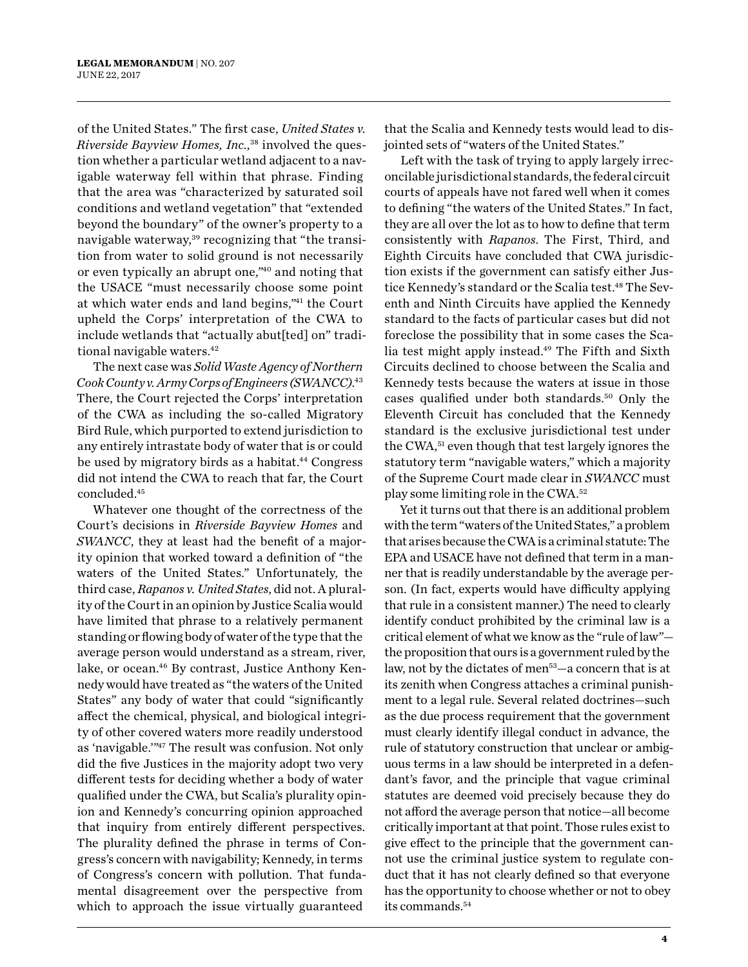of the United States." The first case, *United States v. Riverside Bayview Homes, Inc.*, 38 involved the question whether a particular wetland adjacent to a navigable waterway fell within that phrase. Finding that the area was "characterized by saturated soil conditions and wetland vegetation" that "extended beyond the boundary" of the owner's property to a navigable waterway,<sup>39</sup> recognizing that "the transition from water to solid ground is not necessarily or even typically an abrupt one,"40 and noting that the USACE "must necessarily choose some point at which water ends and land begins,"41 the Court upheld the Corps' interpretation of the CWA to include wetlands that "actually abut[ted] on" traditional navigable waters.<sup>42</sup>

The next case was *Solid Waste Agency of Northern Cook County v. Army Corps of Engineers (SWANCC)*. 43 There, the Court rejected the Corps' interpretation of the CWA as including the so-called Migratory Bird Rule, which purported to extend jurisdiction to any entirely intrastate body of water that is or could be used by migratory birds as a habitat.<sup>44</sup> Congress did not intend the CWA to reach that far, the Court concluded.45

Whatever one thought of the correctness of the Court's decisions in *Riverside Bayview Homes* and *SWANCC*, they at least had the benefit of a majority opinion that worked toward a definition of "the waters of the United States." Unfortunately, the third case, *Rapanos v. United States*, did not. A plurality of the Court in an opinion by Justice Scalia would have limited that phrase to a relatively permanent standing or flowing body of water of the type that the average person would understand as a stream, river, lake, or ocean.<sup>46</sup> By contrast, Justice Anthony Kennedy would have treated as "the waters of the United States" any body of water that could "significantly affect the chemical, physical, and biological integrity of other covered waters more readily understood as 'navigable.'"47 The result was confusion. Not only did the five Justices in the majority adopt two very different tests for deciding whether a body of water qualified under the CWA, but Scalia's plurality opinion and Kennedy's concurring opinion approached that inquiry from entirely different perspectives. The plurality defined the phrase in terms of Congress's concern with navigability; Kennedy, in terms of Congress's concern with pollution. That fundamental disagreement over the perspective from which to approach the issue virtually guaranteed

that the Scalia and Kennedy tests would lead to disjointed sets of "waters of the United States."

Left with the task of trying to apply largely irreconcilable jurisdictional standards, the federal circuit courts of appeals have not fared well when it comes to defining "the waters of the United States." In fact, they are all over the lot as to how to define that term consistently with *Rapanos*. The First, Third, and Eighth Circuits have concluded that CWA jurisdiction exists if the government can satisfy either Justice Kennedy's standard or the Scalia test.<sup>48</sup> The Seventh and Ninth Circuits have applied the Kennedy standard to the facts of particular cases but did not foreclose the possibility that in some cases the Scalia test might apply instead.<sup>49</sup> The Fifth and Sixth Circuits declined to choose between the Scalia and Kennedy tests because the waters at issue in those cases qualified under both standards.50 Only the Eleventh Circuit has concluded that the Kennedy standard is the exclusive jurisdictional test under the CWA,<sup>51</sup> even though that test largely ignores the statutory term "navigable waters," which a majority of the Supreme Court made clear in *SWANCC* must play some limiting role in the CWA.52

Yet it turns out that there is an additional problem with the term "waters of the United States," a problem that arises because the CWA is a criminal statute: The EPA and USACE have not defined that term in a manner that is readily understandable by the average person. (In fact, experts would have difficulty applying that rule in a consistent manner.) The need to clearly identify conduct prohibited by the criminal law is a critical element of what we know as the "rule of law" the proposition that ours is a government ruled by the law, not by the dictates of men<sup>53</sup>—a concern that is at its zenith when Congress attaches a criminal punishment to a legal rule. Several related doctrines—such as the due process requirement that the government must clearly identify illegal conduct in advance, the rule of statutory construction that unclear or ambiguous terms in a law should be interpreted in a defendant's favor, and the principle that vague criminal statutes are deemed void precisely because they do not afford the average person that notice—all become critically important at that point. Those rules exist to give effect to the principle that the government cannot use the criminal justice system to regulate conduct that it has not clearly defined so that everyone has the opportunity to choose whether or not to obey its commands.54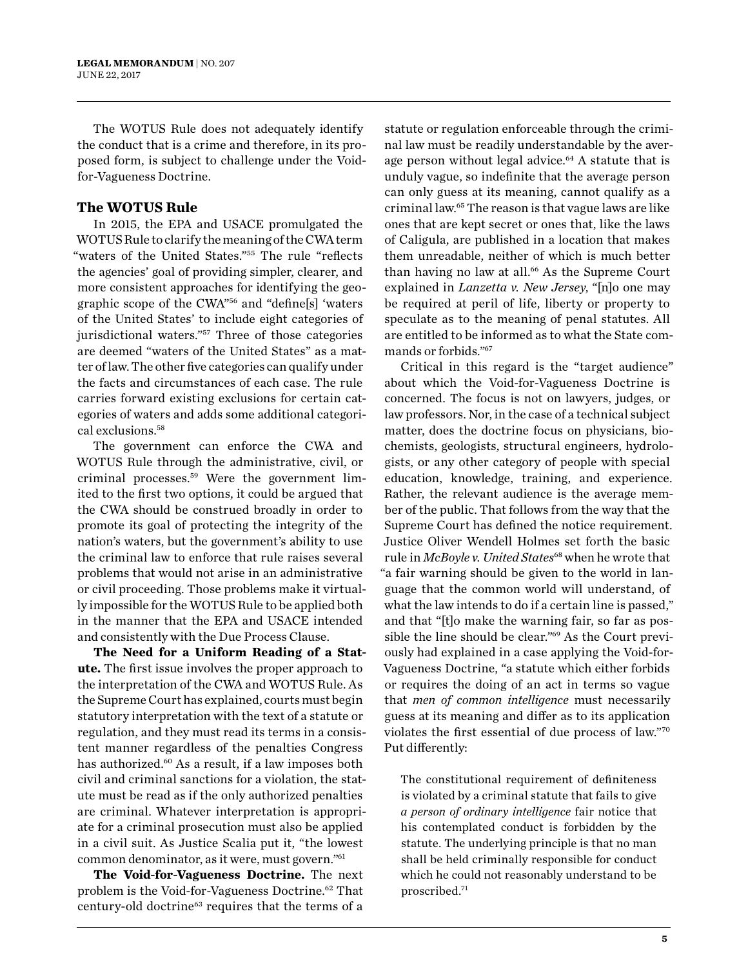The WOTUS Rule does not adequately identify the conduct that is a crime and therefore, in its proposed form, is subject to challenge under the Voidfor-Vagueness Doctrine.

#### **The WOTUS Rule**

In 2015, the EPA and USACE promulgated the WOTUS Rule to clarify the meaning of the CWA term "waters of the United States."55 The rule "reflects the agencies' goal of providing simpler, clearer, and more consistent approaches for identifying the geographic scope of the CWA"56 and "define[s] 'waters of the United States' to include eight categories of jurisdictional waters."57 Three of those categories are deemed "waters of the United States" as a matter of law. The other five categories can qualify under the facts and circumstances of each case. The rule carries forward existing exclusions for certain categories of waters and adds some additional categorical exclusions.58

The government can enforce the CWA and WOTUS Rule through the administrative, civil, or criminal processes.59 Were the government limited to the first two options, it could be argued that the CWA should be construed broadly in order to promote its goal of protecting the integrity of the nation's waters, but the government's ability to use the criminal law to enforce that rule raises several problems that would not arise in an administrative or civil proceeding. Those problems make it virtually impossible for the WOTUS Rule to be applied both in the manner that the EPA and USACE intended and consistently with the Due Process Clause.

**The Need for a Uniform Reading of a Statute.** The first issue involves the proper approach to the interpretation of the CWA and WOTUS Rule. As the Supreme Court has explained, courts must begin statutory interpretation with the text of a statute or regulation, and they must read its terms in a consistent manner regardless of the penalties Congress has authorized.<sup>60</sup> As a result, if a law imposes both civil and criminal sanctions for a violation, the statute must be read as if the only authorized penalties are criminal. Whatever interpretation is appropriate for a criminal prosecution must also be applied in a civil suit. As Justice Scalia put it, "the lowest common denominator, as it were, must govern."61

**The Void-for-Vagueness Doctrine.** The next problem is the Void-for-Vagueness Doctrine.<sup>62</sup> That century-old doctrine63 requires that the terms of a statute or regulation enforceable through the criminal law must be readily understandable by the average person without legal advice.<sup>64</sup> A statute that is unduly vague, so indefinite that the average person can only guess at its meaning, cannot qualify as a criminal law.65 The reason is that vague laws are like ones that are kept secret or ones that, like the laws of Caligula, are published in a location that makes them unreadable, neither of which is much better than having no law at all.<sup>66</sup> As the Supreme Court explained in *Lanzetta v. New Jersey*, "[n]o one may be required at peril of life, liberty or property to speculate as to the meaning of penal statutes. All are entitled to be informed as to what the State commands or forbids."67

Critical in this regard is the "target audience" about which the Void-for-Vagueness Doctrine is concerned. The focus is not on lawyers, judges, or law professors. Nor, in the case of a technical subject matter, does the doctrine focus on physicians, biochemists, geologists, structural engineers, hydrologists, or any other category of people with special education, knowledge, training, and experience. Rather, the relevant audience is the average member of the public. That follows from the way that the Supreme Court has defined the notice requirement. Justice Oliver Wendell Holmes set forth the basic rule in *McBoyle v. United States*<sup>68</sup> when he wrote that "a fair warning should be given to the world in language that the common world will understand, of what the law intends to do if a certain line is passed," and that "[t]o make the warning fair, so far as possible the line should be clear."69 As the Court previously had explained in a case applying the Void-for-Vagueness Doctrine, "a statute which either forbids or requires the doing of an act in terms so vague that *men of common intelligence* must necessarily guess at its meaning and differ as to its application violates the first essential of due process of law."70 Put differently:

The constitutional requirement of definiteness is violated by a criminal statute that fails to give *a person of ordinary intelligence* fair notice that his contemplated conduct is forbidden by the statute. The underlying principle is that no man shall be held criminally responsible for conduct which he could not reasonably understand to be proscribed.71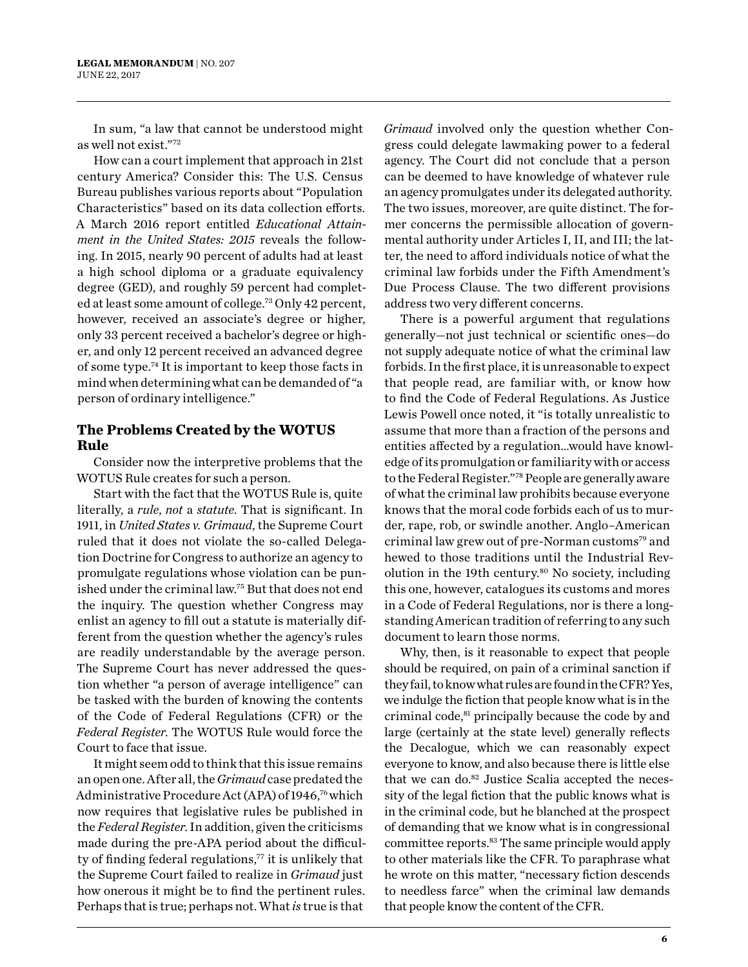In sum, "a law that cannot be understood might as well not exist."72

How can a court implement that approach in 21st century America? Consider this: The U.S. Census Bureau publishes various reports about "Population Characteristics" based on its data collection efforts. A March 2016 report entitled *Educational Attainment in the United States: 2015* reveals the following. In 2015, nearly 90 percent of adults had at least a high school diploma or a graduate equivalency degree (GED), and roughly 59 percent had completed at least some amount of college.73 Only 42 percent, however, received an associate's degree or higher, only 33 percent received a bachelor's degree or higher, and only 12 percent received an advanced degree of some type.74 It is important to keep those facts in mind when determining what can be demanded of "a person of ordinary intelligence."

#### **The Problems Created by the WOTUS Rule**

Consider now the interpretive problems that the WOTUS Rule creates for such a person.

Start with the fact that the WOTUS Rule is, quite literally, a *rule*, *not* a *statute*. That is significant. In 1911, in *United States v. Grimaud*, the Supreme Court ruled that it does not violate the so-called Delegation Doctrine for Congress to authorize an agency to promulgate regulations whose violation can be punished under the criminal law.75 But that does not end the inquiry. The question whether Congress may enlist an agency to fill out a statute is materially different from the question whether the agency's rules are readily understandable by the average person. The Supreme Court has never addressed the question whether "a person of average intelligence" can be tasked with the burden of knowing the contents of the Code of Federal Regulations (CFR) or the *Federal Register*. The WOTUS Rule would force the Court to face that issue.

It might seem odd to think that this issue remains an open one. After all, the *Grimaud* case predated the Administrative Procedure Act (APA) of 1946,<sup>76</sup> which now requires that legislative rules be published in the *Federal Register*. In addition, given the criticisms made during the pre-APA period about the difficulty of finding federal regulations,<sup>77</sup> it is unlikely that the Supreme Court failed to realize in *Grimaud* just how onerous it might be to find the pertinent rules. Perhaps that is true; perhaps not. What *is* true is that

*Grimaud* involved only the question whether Congress could delegate lawmaking power to a federal agency. The Court did not conclude that a person can be deemed to have knowledge of whatever rule an agency promulgates under its delegated authority. The two issues, moreover, are quite distinct. The former concerns the permissible allocation of governmental authority under Articles I, II, and III; the latter, the need to afford individuals notice of what the criminal law forbids under the Fifth Amendment's Due Process Clause. The two different provisions address two very different concerns.

There is a powerful argument that regulations generally—not just technical or scientific ones—do not supply adequate notice of what the criminal law forbids. In the first place, it is unreasonable to expect that people read, are familiar with, or know how to find the Code of Federal Regulations. As Justice Lewis Powell once noted, it "is totally unrealistic to assume that more than a fraction of the persons and entities affected by a regulation…would have knowledge of its promulgation or familiarity with or access to the Federal Register."78 People are generally aware of what the criminal law prohibits because everyone knows that the moral code forbids each of us to murder, rape, rob, or swindle another. Anglo–American criminal law grew out of pre-Norman customs<sup>79</sup> and hewed to those traditions until the Industrial Revolution in the 19th century.<sup>80</sup> No society, including this one, however, catalogues its customs and mores in a Code of Federal Regulations, nor is there a longstanding American tradition of referring to any such document to learn those norms.

Why, then, is it reasonable to expect that people should be required, on pain of a criminal sanction if they fail, to know what rules are found in the CFR? Yes, we indulge the fiction that people know what is in the criminal code,81 principally because the code by and large (certainly at the state level) generally reflects the Decalogue, which we can reasonably expect everyone to know, and also because there is little else that we can do.<sup>82</sup> Justice Scalia accepted the necessity of the legal fiction that the public knows what is in the criminal code, but he blanched at the prospect of demanding that we know what is in congressional committee reports.<sup>83</sup> The same principle would apply to other materials like the CFR. To paraphrase what he wrote on this matter, "necessary fiction descends to needless farce" when the criminal law demands that people know the content of the CFR.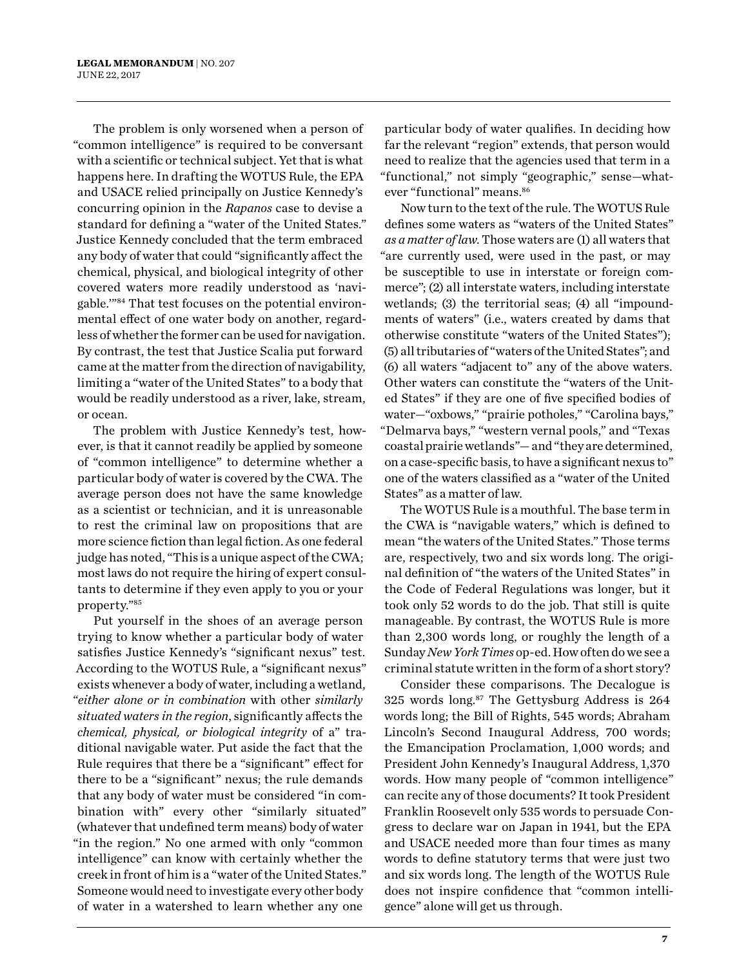The problem is only worsened when a person of "common intelligence" is required to be conversant with a scientific or technical subject. Yet that is what happens here. In drafting the WOTUS Rule, the EPA and USACE relied principally on Justice Kennedy's concurring opinion in the *Rapanos* case to devise a standard for defining a "water of the United States." Justice Kennedy concluded that the term embraced any body of water that could "significantly affect the chemical, physical, and biological integrity of other covered waters more readily understood as 'navigable.'"84 That test focuses on the potential environmental effect of one water body on another, regardless of whether the former can be used for navigation. By contrast, the test that Justice Scalia put forward came at the matter from the direction of navigability, limiting a "water of the United States" to a body that would be readily understood as a river, lake, stream, or ocean.

The problem with Justice Kennedy's test, however, is that it cannot readily be applied by someone of "common intelligence" to determine whether a particular body of water is covered by the CWA. The average person does not have the same knowledge as a scientist or technician, and it is unreasonable to rest the criminal law on propositions that are more science fiction than legal fiction. As one federal judge has noted, "This is a unique aspect of the CWA; most laws do not require the hiring of expert consultants to determine if they even apply to you or your property."85

Put yourself in the shoes of an average person trying to know whether a particular body of water satisfies Justice Kennedy's "significant nexus" test. According to the WOTUS Rule, a "significant nexus" exists whenever a body of water, including a wetland, "*either alone or in combination* with other *similarly situated waters in the region*, significantly affects the *chemical, physical, or biological integrity* of a" traditional navigable water. Put aside the fact that the Rule requires that there be a "significant" effect for there to be a "significant" nexus; the rule demands that any body of water must be considered "in combination with" every other "similarly situated" (whatever that undefined term means) body of water "in the region." No one armed with only "common intelligence" can know with certainly whether the creek in front of him is a "water of the United States." Someone would need to investigate every other body of water in a watershed to learn whether any one

particular body of water qualifies. In deciding how far the relevant "region" extends, that person would need to realize that the agencies used that term in a "functional," not simply "geographic," sense—whatever "functional" means.<sup>86</sup>

Now turn to the text of the rule. The WOTUS Rule defines some waters as "waters of the United States" *as a matter of law*. Those waters are (1) all waters that "are currently used, were used in the past, or may be susceptible to use in interstate or foreign commerce"; (2) all interstate waters, including interstate wetlands; (3) the territorial seas; (4) all "impoundments of waters" (i.e., waters created by dams that otherwise constitute "waters of the United States"); (5) all tributaries of "waters of the United States"; and (6) all waters "adjacent to" any of the above waters. Other waters can constitute the "waters of the United States" if they are one of five specified bodies of water—"oxbows," "prairie potholes," "Carolina bays," "Delmarva bays," "western vernal pools," and "Texas coastal prairie wetlands"— and "they are determined, on a case-specific basis, to have a significant nexus to" one of the waters classified as a "water of the United States" as a matter of law.

The WOTUS Rule is a mouthful. The base term in the CWA is "navigable waters," which is defined to mean "the waters of the United States." Those terms are, respectively, two and six words long. The original definition of "the waters of the United States" in the Code of Federal Regulations was longer, but it took only 52 words to do the job. That still is quite manageable. By contrast, the WOTUS Rule is more than 2,300 words long, or roughly the length of a Sunday *New York Times* op-ed. How often do we see a criminal statute written in the form of a short story?

Consider these comparisons. The Decalogue is 325 words  $long.^{87}$  The Gettysburg Address is 264 words long; the Bill of Rights, 545 words; Abraham Lincoln's Second Inaugural Address, 700 words; the Emancipation Proclamation, 1,000 words; and President John Kennedy's Inaugural Address, 1,370 words. How many people of "common intelligence" can recite any of those documents? It took President Franklin Roosevelt only 535 words to persuade Congress to declare war on Japan in 1941, but the EPA and USACE needed more than four times as many words to define statutory terms that were just two and six words long. The length of the WOTUS Rule does not inspire confidence that "common intelligence" alone will get us through.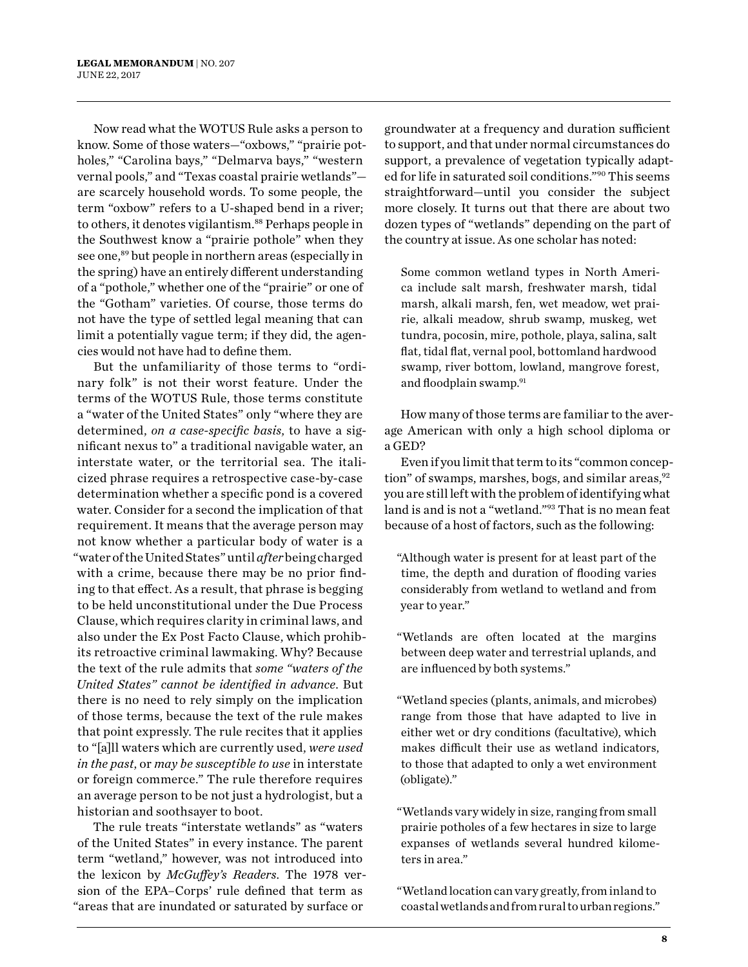Now read what the WOTUS Rule asks a person to know. Some of those waters—"oxbows," "prairie potholes," "Carolina bays," "Delmarva bays," "western vernal pools," and "Texas coastal prairie wetlands" are scarcely household words. To some people, the term "oxbow" refers to a U-shaped bend in a river; to others, it denotes vigilantism.<sup>88</sup> Perhaps people in the Southwest know a "prairie pothole" when they see one,<sup>89</sup> but people in northern areas (especially in the spring) have an entirely different understanding of a "pothole," whether one of the "prairie" or one of the "Gotham" varieties. Of course, those terms do not have the type of settled legal meaning that can limit a potentially vague term; if they did, the agencies would not have had to define them.

But the unfamiliarity of those terms to "ordinary folk" is not their worst feature. Under the terms of the WOTUS Rule, those terms constitute a "water of the United States" only "where they are determined, *on a case-specific basis*, to have a significant nexus to" a traditional navigable water, an interstate water, or the territorial sea. The italicized phrase requires a retrospective case-by-case determination whether a specific pond is a covered water. Consider for a second the implication of that requirement. It means that the average person may not know whether a particular body of water is a "water of the United States" until *after* being charged with a crime, because there may be no prior finding to that effect. As a result, that phrase is begging to be held unconstitutional under the Due Process Clause, which requires clarity in criminal laws, and also under the Ex Post Facto Clause, which prohibits retroactive criminal lawmaking. Why? Because the text of the rule admits that *some "waters of the United States" cannot be identified in advance*. But there is no need to rely simply on the implication of those terms, because the text of the rule makes that point expressly. The rule recites that it applies to "[a]ll waters which are currently used, *were used in the past*, or *may be susceptible to use* in interstate or foreign commerce." The rule therefore requires an average person to be not just a hydrologist, but a historian and soothsayer to boot.

The rule treats "interstate wetlands" as "waters of the United States" in every instance. The parent term "wetland," however, was not introduced into the lexicon by *McGuffey's Readers*. The 1978 version of the EPA–Corps' rule defined that term as "areas that are inundated or saturated by surface or

groundwater at a frequency and duration sufficient to support, and that under normal circumstances do support, a prevalence of vegetation typically adapted for life in saturated soil conditions."90 This seems straightforward—until you consider the subject more closely. It turns out that there are about two dozen types of "wetlands" depending on the part of the country at issue. As one scholar has noted:

Some common wetland types in North America include salt marsh, freshwater marsh, tidal marsh, alkali marsh, fen, wet meadow, wet prairie, alkali meadow, shrub swamp, muskeg, wet tundra, pocosin, mire, pothole, playa, salina, salt flat, tidal flat, vernal pool, bottomland hardwood swamp, river bottom, lowland, mangrove forest, and floodplain swamp.<sup>91</sup>

How many of those terms are familiar to the average American with only a high school diploma or a GED?

Even if you limit that term to its "common conception" of swamps, marshes, bogs, and similar areas, $92$ you are still left with the problem of identifying what land is and is not a "wetland."93 That is no mean feat because of a host of factors, such as the following:

"Although water is present for at least part of the time, the depth and duration of flooding varies considerably from wetland to wetland and from year to year."

"Wetlands are often located at the margins between deep water and terrestrial uplands, and are influenced by both systems."

"Wetland species (plants, animals, and microbes) range from those that have adapted to live in either wet or dry conditions (facultative), which makes difficult their use as wetland indicators, to those that adapted to only a wet environment (obligate)."

"Wetlands vary widely in size, ranging from small prairie potholes of a few hectares in size to large expanses of wetlands several hundred kilometers in area."

"Wetland location can vary greatly, from inland to coastal wetlands and from rural to urban regions."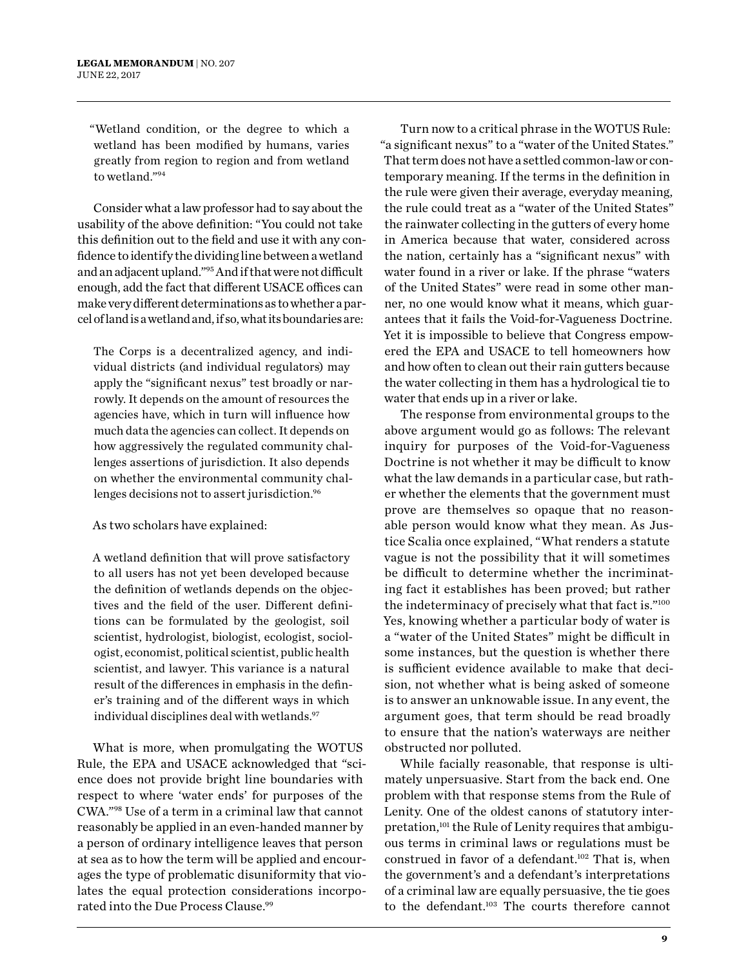"Wetland condition, or the degree to which a wetland has been modified by humans, varies greatly from region to region and from wetland to wetland."94

Consider what a law professor had to say about the usability of the above definition: "You could not take this definition out to the field and use it with any confidence to identify the dividing line between a wetland and an adjacent upland."95 And if that were not difficult enough, add the fact that different USACE offices can make very different determinations as to whether a parcel of land is a wetland and, if so, what its boundaries are:

The Corps is a decentralized agency, and individual districts (and individual regulators) may apply the "significant nexus" test broadly or narrowly. It depends on the amount of resources the agencies have, which in turn will influence how much data the agencies can collect. It depends on how aggressively the regulated community challenges assertions of jurisdiction. It also depends on whether the environmental community challenges decisions not to assert jurisdiction.<sup>96</sup>

#### As two scholars have explained:

A wetland definition that will prove satisfactory to all users has not yet been developed because the definition of wetlands depends on the objectives and the field of the user. Different definitions can be formulated by the geologist, soil scientist, hydrologist, biologist, ecologist, sociologist, economist, political scientist, public health scientist, and lawyer. This variance is a natural result of the differences in emphasis in the definer's training and of the different ways in which individual disciplines deal with wetlands.<sup>97</sup>

What is more, when promulgating the WOTUS Rule, the EPA and USACE acknowledged that "science does not provide bright line boundaries with respect to where 'water ends' for purposes of the CWA."98 Use of a term in a criminal law that cannot reasonably be applied in an even-handed manner by a person of ordinary intelligence leaves that person at sea as to how the term will be applied and encourages the type of problematic disuniformity that violates the equal protection considerations incorporated into the Due Process Clause.<sup>99</sup>

Turn now to a critical phrase in the WOTUS Rule: "a significant nexus" to a "water of the United States." That term does not have a settled common-law or contemporary meaning. If the terms in the definition in the rule were given their average, everyday meaning, the rule could treat as a "water of the United States" the rainwater collecting in the gutters of every home in America because that water, considered across the nation, certainly has a "significant nexus" with water found in a river or lake. If the phrase "waters of the United States" were read in some other manner, no one would know what it means, which guarantees that it fails the Void-for-Vagueness Doctrine. Yet it is impossible to believe that Congress empowered the EPA and USACE to tell homeowners how and how often to clean out their rain gutters because the water collecting in them has a hydrological tie to water that ends up in a river or lake.

The response from environmental groups to the above argument would go as follows: The relevant inquiry for purposes of the Void-for-Vagueness Doctrine is not whether it may be difficult to know what the law demands in a particular case, but rather whether the elements that the government must prove are themselves so opaque that no reasonable person would know what they mean. As Justice Scalia once explained, "What renders a statute vague is not the possibility that it will sometimes be difficult to determine whether the incriminating fact it establishes has been proved; but rather the indeterminacy of precisely what that fact is."100 Yes, knowing whether a particular body of water is a "water of the United States" might be difficult in some instances, but the question is whether there is sufficient evidence available to make that decision, not whether what is being asked of someone is to answer an unknowable issue. In any event, the argument goes, that term should be read broadly to ensure that the nation's waterways are neither obstructed nor polluted.

While facially reasonable, that response is ultimately unpersuasive. Start from the back end. One problem with that response stems from the Rule of Lenity. One of the oldest canons of statutory interpretation,101 the Rule of Lenity requires that ambiguous terms in criminal laws or regulations must be construed in favor of a defendant.<sup>102</sup> That is, when the government's and a defendant's interpretations of a criminal law are equally persuasive, the tie goes to the defendant.<sup>103</sup> The courts therefore cannot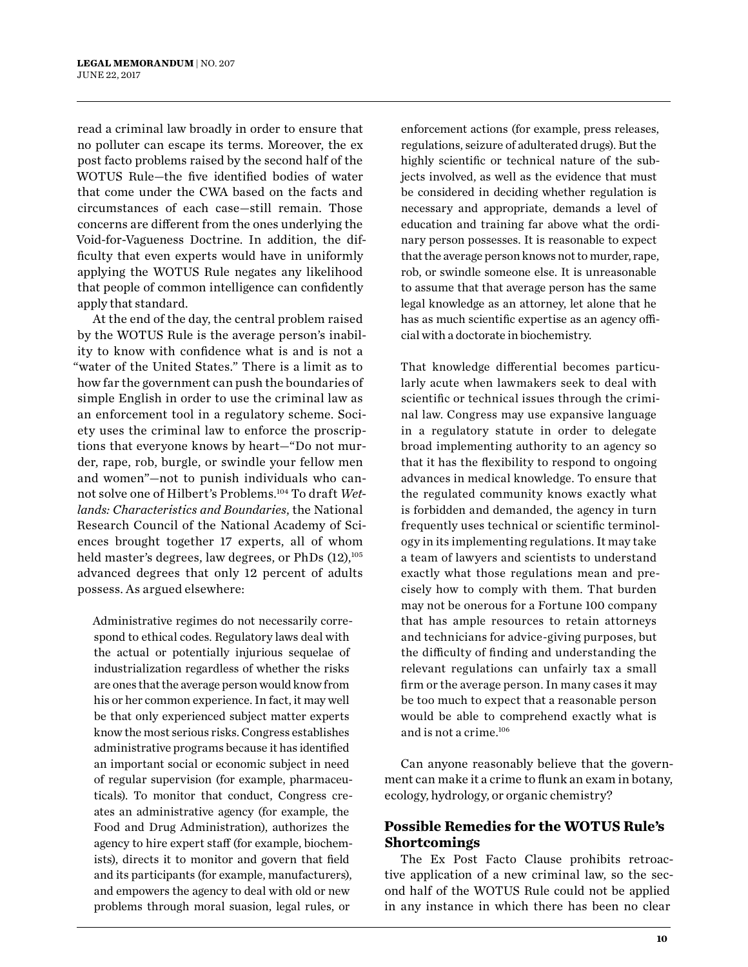read a criminal law broadly in order to ensure that no polluter can escape its terms. Moreover, the ex post facto problems raised by the second half of the WOTUS Rule—the five identified bodies of water that come under the CWA based on the facts and circumstances of each case—still remain. Those concerns are different from the ones underlying the Void-for-Vagueness Doctrine. In addition, the difficulty that even experts would have in uniformly applying the WOTUS Rule negates any likelihood that people of common intelligence can confidently apply that standard.

At the end of the day, the central problem raised by the WOTUS Rule is the average person's inability to know with confidence what is and is not a "water of the United States." There is a limit as to how far the government can push the boundaries of simple English in order to use the criminal law as an enforcement tool in a regulatory scheme. Society uses the criminal law to enforce the proscriptions that everyone knows by heart—"Do not murder, rape, rob, burgle, or swindle your fellow men and women"—not to punish individuals who cannot solve one of Hilbert's Problems.104 To draft *Wetlands: Characteristics and Boundaries*, the National Research Council of the National Academy of Sciences brought together 17 experts, all of whom held master's degrees, law degrees, or PhDs  $(12)$ ,<sup>105</sup> advanced degrees that only 12 percent of adults possess. As argued elsewhere:

Administrative regimes do not necessarily correspond to ethical codes. Regulatory laws deal with the actual or potentially injurious sequelae of industrialization regardless of whether the risks are ones that the average person would know from his or her common experience. In fact, it may well be that only experienced subject matter experts know the most serious risks. Congress establishes administrative programs because it has identified an important social or economic subject in need of regular supervision (for example, pharmaceuticals). To monitor that conduct, Congress creates an administrative agency (for example, the Food and Drug Administration), authorizes the agency to hire expert staff (for example, biochemists), directs it to monitor and govern that field and its participants (for example, manufacturers), and empowers the agency to deal with old or new problems through moral suasion, legal rules, or

enforcement actions (for example, press releases, regulations, seizure of adulterated drugs). But the highly scientific or technical nature of the subjects involved, as well as the evidence that must be considered in deciding whether regulation is necessary and appropriate, demands a level of education and training far above what the ordinary person possesses. It is reasonable to expect that the average person knows not to murder, rape, rob, or swindle someone else. It is unreasonable to assume that that average person has the same legal knowledge as an attorney, let alone that he has as much scientific expertise as an agency official with a doctorate in biochemistry.

That knowledge differential becomes particularly acute when lawmakers seek to deal with scientific or technical issues through the criminal law. Congress may use expansive language in a regulatory statute in order to delegate broad implementing authority to an agency so that it has the flexibility to respond to ongoing advances in medical knowledge. To ensure that the regulated community knows exactly what is forbidden and demanded, the agency in turn frequently uses technical or scientific terminology in its implementing regulations. It may take a team of lawyers and scientists to understand exactly what those regulations mean and precisely how to comply with them. That burden may not be onerous for a Fortune 100 company that has ample resources to retain attorneys and technicians for advice-giving purposes, but the difficulty of finding and understanding the relevant regulations can unfairly tax a small firm or the average person. In many cases it may be too much to expect that a reasonable person would be able to comprehend exactly what is and is not a crime.106

Can anyone reasonably believe that the government can make it a crime to flunk an exam in botany, ecology, hydrology, or organic chemistry?

#### **Possible Remedies for the WOTUS Rule's Shortcomings**

The Ex Post Facto Clause prohibits retroactive application of a new criminal law, so the second half of the WOTUS Rule could not be applied in any instance in which there has been no clear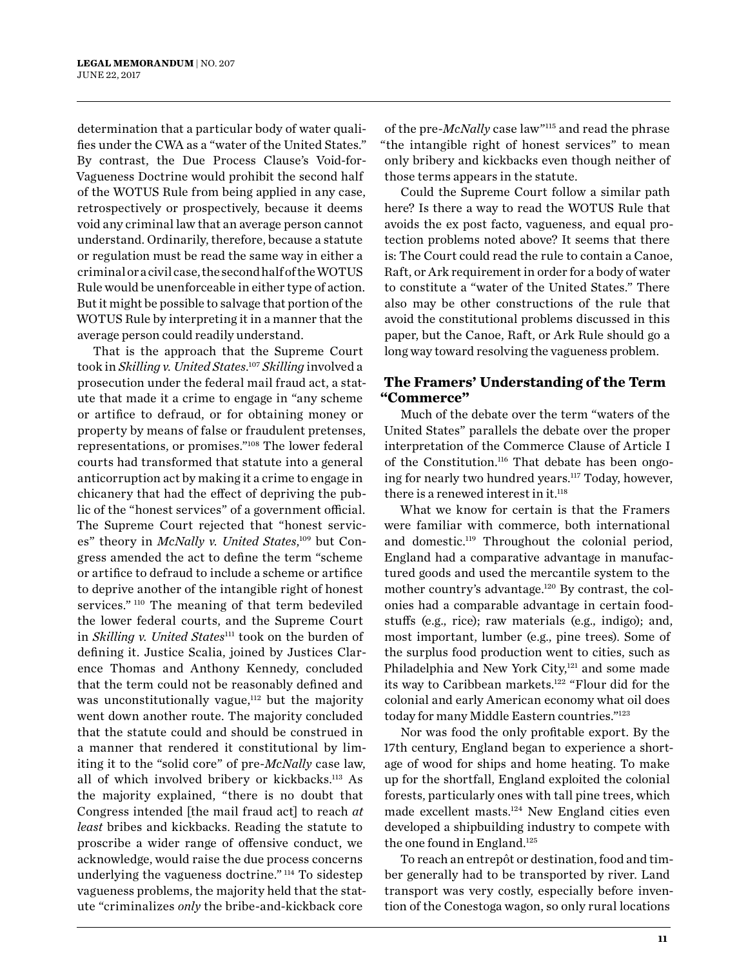determination that a particular body of water qualifies under the CWA as a "water of the United States." By contrast, the Due Process Clause's Void-for-Vagueness Doctrine would prohibit the second half of the WOTUS Rule from being applied in any case, retrospectively or prospectively, because it deems void any criminal law that an average person cannot understand. Ordinarily, therefore, because a statute or regulation must be read the same way in either a criminal or a civil case, the second half of the WOTUS Rule would be unenforceable in either type of action. But it might be possible to salvage that portion of the WOTUS Rule by interpreting it in a manner that the average person could readily understand.

That is the approach that the Supreme Court took in *Skilling v. United States*. <sup>107</sup> *Skilling* involved a prosecution under the federal mail fraud act, a statute that made it a crime to engage in "any scheme or artifice to defraud, or for obtaining money or property by means of false or fraudulent pretenses, representations, or promises."108 The lower federal courts had transformed that statute into a general anticorruption act by making it a crime to engage in chicanery that had the effect of depriving the public of the "honest services" of a government official. The Supreme Court rejected that "honest services" theory in McNally v. United States,<sup>109</sup> but Congress amended the act to define the term "scheme or artifice to defraud to include a scheme or artifice to deprive another of the intangible right of honest services."<sup>110</sup> The meaning of that term bedeviled the lower federal courts, and the Supreme Court in *Skilling v. United States*<sup>111</sup> took on the burden of defining it. Justice Scalia, joined by Justices Clarence Thomas and Anthony Kennedy, concluded that the term could not be reasonably defined and was unconstitutionally vague, $112$  but the majority went down another route. The majority concluded that the statute could and should be construed in a manner that rendered it constitutional by limiting it to the "solid core" of pre-*McNally* case law, all of which involved bribery or kickbacks.113 As the majority explained, "there is no doubt that Congress intended [the mail fraud act] to reach *at least* bribes and kickbacks. Reading the statute to proscribe a wider range of offensive conduct, we acknowledge, would raise the due process concerns underlying the vagueness doctrine." 114 To sidestep vagueness problems, the majority held that the statute "criminalizes *only* the bribe-and-kickback core

of the pre-*McNally* case law"115 and read the phrase "the intangible right of honest services" to mean only bribery and kickbacks even though neither of those terms appears in the statute.

Could the Supreme Court follow a similar path here? Is there a way to read the WOTUS Rule that avoids the ex post facto, vagueness, and equal protection problems noted above? It seems that there is: The Court could read the rule to contain a Canoe, Raft, or Ark requirement in order for a body of water to constitute a "water of the United States." There also may be other constructions of the rule that avoid the constitutional problems discussed in this paper, but the Canoe, Raft, or Ark Rule should go a long way toward resolving the vagueness problem.

#### **The Framers' Understanding of the Term "Commerce"**

Much of the debate over the term "waters of the United States" parallels the debate over the proper interpretation of the Commerce Clause of Article I of the Constitution.<sup>116</sup> That debate has been ongoing for nearly two hundred years.<sup>117</sup> Today, however, there is a renewed interest in it.<sup>118</sup>

What we know for certain is that the Framers were familiar with commerce, both international and domestic.119 Throughout the colonial period, England had a comparative advantage in manufactured goods and used the mercantile system to the mother country's advantage.120 By contrast, the colonies had a comparable advantage in certain foodstuffs (e.g., rice); raw materials (e.g., indigo); and, most important, lumber (e.g., pine trees). Some of the surplus food production went to cities, such as Philadelphia and New York City,<sup>121</sup> and some made its way to Caribbean markets.<sup>122</sup> "Flour did for the colonial and early American economy what oil does today for many Middle Eastern countries."123

Nor was food the only profitable export. By the 17th century, England began to experience a shortage of wood for ships and home heating. To make up for the shortfall, England exploited the colonial forests, particularly ones with tall pine trees, which made excellent masts.124 New England cities even developed a shipbuilding industry to compete with the one found in England.<sup>125</sup>

To reach an entrepôt or destination, food and timber generally had to be transported by river. Land transport was very costly, especially before invention of the Conestoga wagon, so only rural locations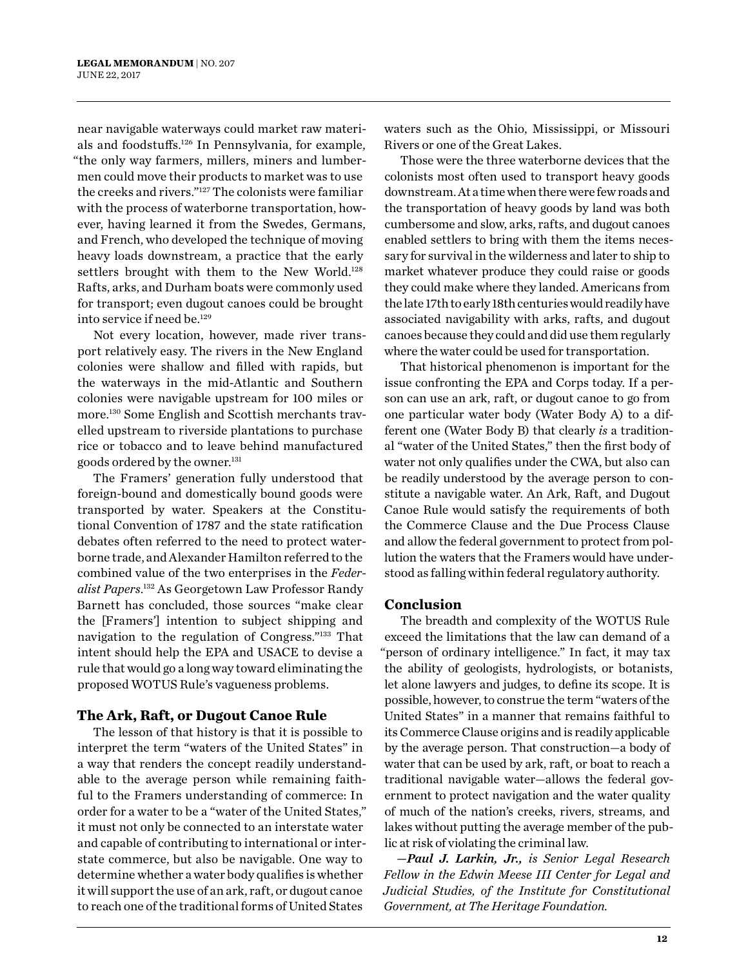near navigable waterways could market raw materials and foodstuffs.126 In Pennsylvania, for example, "the only way farmers, millers, miners and lumbermen could move their products to market was to use the creeks and rivers."127 The colonists were familiar with the process of waterborne transportation, however, having learned it from the Swedes, Germans, and French, who developed the technique of moving heavy loads downstream, a practice that the early settlers brought with them to the New World.<sup>128</sup> Rafts, arks, and Durham boats were commonly used for transport; even dugout canoes could be brought into service if need be.<sup>129</sup>

Not every location, however, made river transport relatively easy. The rivers in the New England colonies were shallow and filled with rapids, but the waterways in the mid-Atlantic and Southern colonies were navigable upstream for 100 miles or more.<sup>130</sup> Some English and Scottish merchants travelled upstream to riverside plantations to purchase rice or tobacco and to leave behind manufactured goods ordered by the owner.<sup>131</sup>

The Framers' generation fully understood that foreign-bound and domestically bound goods were transported by water. Speakers at the Constitutional Convention of 1787 and the state ratification debates often referred to the need to protect waterborne trade, and Alexander Hamilton referred to the combined value of the two enterprises in the *Federalist Papers*. 132 As Georgetown Law Professor Randy Barnett has concluded, those sources "make clear the [Framers'] intention to subject shipping and navigation to the regulation of Congress."133 That intent should help the EPA and USACE to devise a rule that would go a long way toward eliminating the proposed WOTUS Rule's vagueness problems.

#### **The Ark, Raft, or Dugout Canoe Rule**

The lesson of that history is that it is possible to interpret the term "waters of the United States" in a way that renders the concept readily understandable to the average person while remaining faithful to the Framers understanding of commerce: In order for a water to be a "water of the United States," it must not only be connected to an interstate water and capable of contributing to international or interstate commerce, but also be navigable. One way to determine whether a water body qualifies is whether it will support the use of an ark, raft, or dugout canoe to reach one of the traditional forms of United States

waters such as the Ohio, Mississippi, or Missouri Rivers or one of the Great Lakes.

Those were the three waterborne devices that the colonists most often used to transport heavy goods downstream. At a time when there were few roads and the transportation of heavy goods by land was both cumbersome and slow, arks, rafts, and dugout canoes enabled settlers to bring with them the items necessary for survival in the wilderness and later to ship to market whatever produce they could raise or goods they could make where they landed. Americans from the late 17th to early 18th centuries would readily have associated navigability with arks, rafts, and dugout canoes because they could and did use them regularly where the water could be used for transportation.

That historical phenomenon is important for the issue confronting the EPA and Corps today. If a person can use an ark, raft, or dugout canoe to go from one particular water body (Water Body A) to a different one (Water Body B) that clearly *is* a traditional "water of the United States," then the first body of water not only qualifies under the CWA, but also can be readily understood by the average person to constitute a navigable water. An Ark, Raft, and Dugout Canoe Rule would satisfy the requirements of both the Commerce Clause and the Due Process Clause and allow the federal government to protect from pollution the waters that the Framers would have understood as falling within federal regulatory authority.

#### **Conclusion**

The breadth and complexity of the WOTUS Rule exceed the limitations that the law can demand of a "person of ordinary intelligence." In fact, it may tax the ability of geologists, hydrologists, or botanists, let alone lawyers and judges, to define its scope. It is possible, however, to construe the term "waters of the United States" in a manner that remains faithful to its Commerce Clause origins and is readily applicable by the average person. That construction—a body of water that can be used by ark, raft, or boat to reach a traditional navigable water—allows the federal government to protect navigation and the water quality of much of the nation's creeks, rivers, streams, and lakes without putting the average member of the public at risk of violating the criminal law.

*—Paul J. Larkin, Jr., is Senior Legal Research Fellow in the Edwin Meese III Center for Legal and Judicial Studies, of the Institute for Constitutional Government, at The Heritage Foundation.*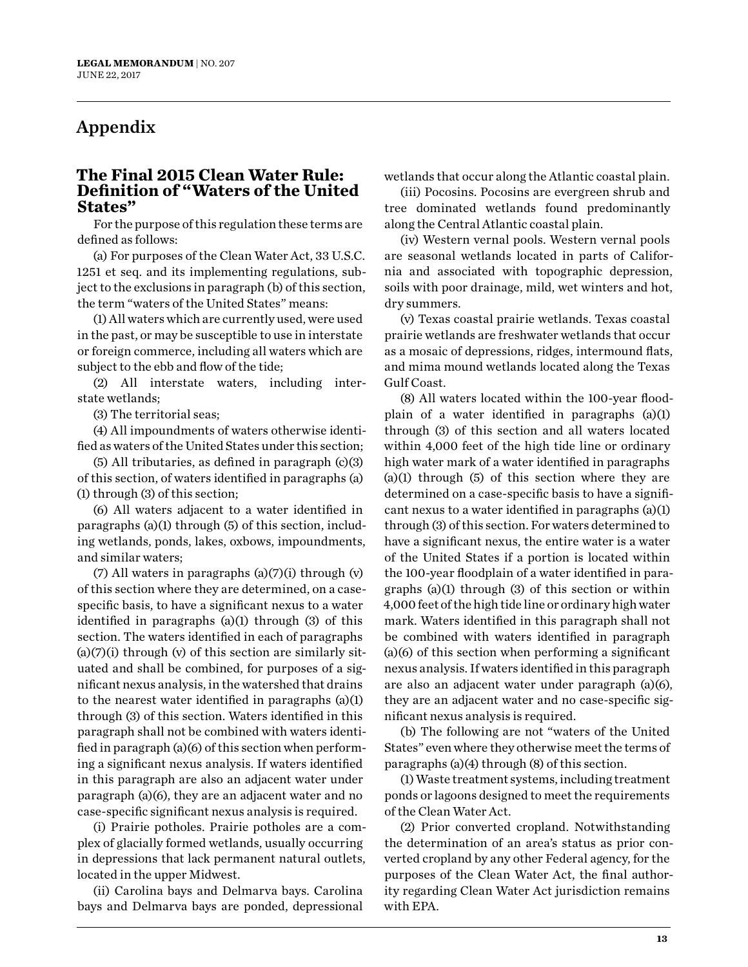## Appendix

#### **The Final 2015 Clean Water Rule: Definition of "Waters of the United States"**

For the purpose of this regulation these terms are defined as follows:

(a) For purposes of the Clean Water Act, 33 U.S.C. 1251 et seq. and its implementing regulations, subject to the exclusions in paragraph (b) of this section, the term "waters of the United States" means:

(1) All waters which are currently used, were used in the past, or may be susceptible to use in interstate or foreign commerce, including all waters which are subject to the ebb and flow of the tide;

(2) All interstate waters, including interstate wetlands;

(3) The territorial seas;

(4) All impoundments of waters otherwise identified as waters of the United States under this section;

(5) All tributaries, as defined in paragraph (c)(3) of this section, of waters identified in paragraphs (a) (1) through (3) of this section;

(6) All waters adjacent to a water identified in paragraphs (a)(1) through (5) of this section, including wetlands, ponds, lakes, oxbows, impoundments, and similar waters;

(7) All waters in paragraphs (a)(7)(i) through (v) of this section where they are determined, on a casespecific basis, to have a significant nexus to a water identified in paragraphs (a)(1) through (3) of this section. The waters identified in each of paragraphs  $(a)(7)(i)$  through  $(v)$  of this section are similarly situated and shall be combined, for purposes of a significant nexus analysis, in the watershed that drains to the nearest water identified in paragraphs (a)(1) through (3) of this section. Waters identified in this paragraph shall not be combined with waters identified in paragraph (a)(6) of this section when performing a significant nexus analysis. If waters identified in this paragraph are also an adjacent water under paragraph (a)(6), they are an adjacent water and no case-specific significant nexus analysis is required.

(i) Prairie potholes. Prairie potholes are a complex of glacially formed wetlands, usually occurring in depressions that lack permanent natural outlets, located in the upper Midwest.

(ii) Carolina bays and Delmarva bays. Carolina bays and Delmarva bays are ponded, depressional wetlands that occur along the Atlantic coastal plain.

(iii) Pocosins. Pocosins are evergreen shrub and tree dominated wetlands found predominantly along the Central Atlantic coastal plain.

(iv) Western vernal pools. Western vernal pools are seasonal wetlands located in parts of California and associated with topographic depression, soils with poor drainage, mild, wet winters and hot, dry summers.

(v) Texas coastal prairie wetlands. Texas coastal prairie wetlands are freshwater wetlands that occur as a mosaic of depressions, ridges, intermound flats, and mima mound wetlands located along the Texas Gulf Coast.

(8) All waters located within the 100-year floodplain of a water identified in paragraphs (a)(1) through (3) of this section and all waters located within 4,000 feet of the high tide line or ordinary high water mark of a water identified in paragraphs (a)(1) through (5) of this section where they are determined on a case-specific basis to have a significant nexus to a water identified in paragraphs (a)(1) through (3) of this section. For waters determined to have a significant nexus, the entire water is a water of the United States if a portion is located within the 100-year floodplain of a water identified in paragraphs (a)(1) through (3) of this section or within 4,000 feet of the high tide line or ordinary high water mark. Waters identified in this paragraph shall not be combined with waters identified in paragraph (a)(6) of this section when performing a significant nexus analysis. If waters identified in this paragraph are also an adjacent water under paragraph (a)(6), they are an adjacent water and no case-specific significant nexus analysis is required.

(b) The following are not "waters of the United States" even where they otherwise meet the terms of paragraphs (a)(4) through (8) of this section.

(1) Waste treatment systems, including treatment ponds or lagoons designed to meet the requirements of the Clean Water Act.

(2) Prior converted cropland. Notwithstanding the determination of an area's status as prior converted cropland by any other Federal agency, for the purposes of the Clean Water Act, the final authority regarding Clean Water Act jurisdiction remains with EPA.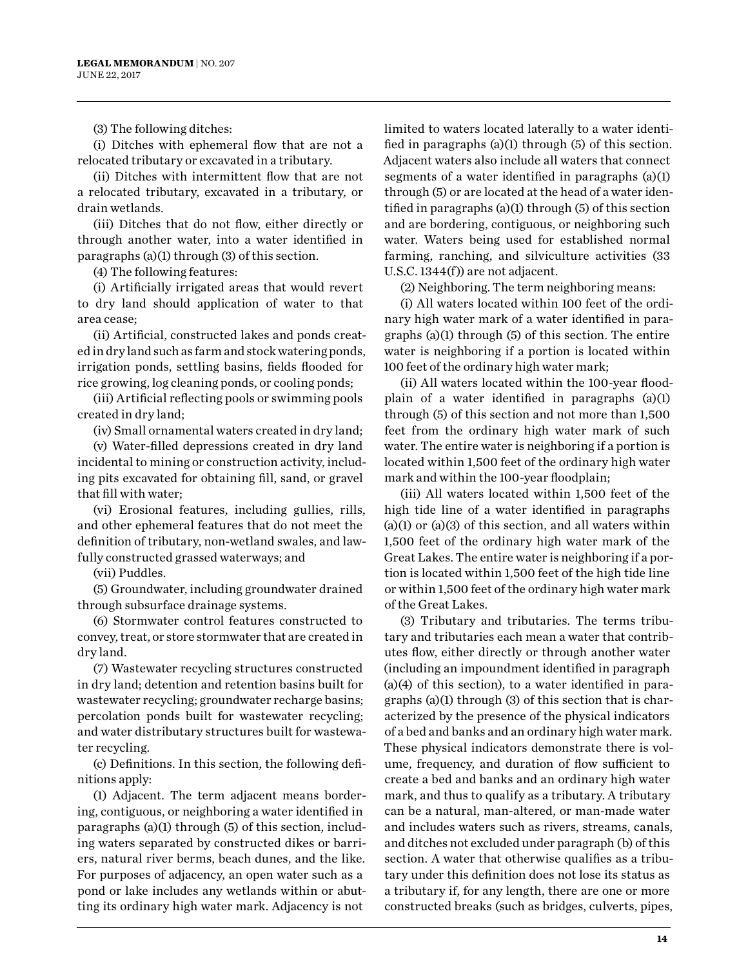(3) The following ditches:

(i) Ditches with ephemeral flow that are not a relocated tributary or excavated in a tributary.

(ii) Ditches with intermittent flow that are not a relocated tributary, excavated in a tributary, or drain wetlands.

(iii) Ditches that do not flow, either directly or through another water, into a water identified in paragraphs (a)(1) through (3) of this section.

(4) The following features:

(i) Artificially irrigated areas that would revert to dry land should application of water to that area cease;

(ii) Artificial, constructed lakes and ponds created in dry land such as farm and stock watering ponds, irrigation ponds, settling basins, fields flooded for rice growing, log cleaning ponds, or cooling ponds;

(iii) Artificial reflecting pools or swimming pools created in dry land;

(iv) Small ornamental waters created in dry land;

(v) Water-filled depressions created in dry land incidental to mining or construction activity, including pits excavated for obtaining fill, sand, or gravel that fill with water;

(vi) Erosional features, including gullies, rills, and other ephemeral features that do not meet the definition of tributary, non-wetland swales, and lawfully constructed grassed waterways; and

(vii) Puddles.

(5) Groundwater, including groundwater drained through subsurface drainage systems.

(6) Stormwater control features constructed to convey, treat, or store stormwater that are created in dry land.

(7) Wastewater recycling structures constructed in dry land; detention and retention basins built for wastewater recycling; groundwater recharge basins; percolation ponds built for wastewater recycling; and water distributary structures built for wastewater recycling.

(c) Definitions. In this section, the following definitions apply:

(1) Adjacent. The term adjacent means bordering, contiguous, or neighboring a water identified in paragraphs (a)(1) through (5) of this section, including waters separated by constructed dikes or barriers, natural river berms, beach dunes, and the like. For purposes of adjacency, an open water such as a pond or lake includes any wetlands within or abutting its ordinary high water mark. Adjacency is not

limited to waters located laterally to a water identified in paragraphs (a)(1) through (5) of this section. Adjacent waters also include all waters that connect segments of a water identified in paragraphs (a)(1) through (5) or are located at the head of a water identified in paragraphs (a)(1) through (5) of this section and are bordering, contiguous, or neighboring such water. Waters being used for established normal farming, ranching, and silviculture activities (33 U.S.C. 1344(f)) are not adjacent.

(2) Neighboring. The term neighboring means:

(i) All waters located within 100 feet of the ordinary high water mark of a water identified in paragraphs (a)(1) through (5) of this section. The entire water is neighboring if a portion is located within 100 feet of the ordinary high water mark;

(ii) All waters located within the 100-year floodplain of a water identified in paragraphs (a)(1) through (5) of this section and not more than 1,500 feet from the ordinary high water mark of such water. The entire water is neighboring if a portion is located within 1,500 feet of the ordinary high water mark and within the 100-year floodplain;

(iii) All waters located within 1,500 feet of the high tide line of a water identified in paragraphs  $(a)(1)$  or  $(a)(3)$  of this section, and all waters within 1,500 feet of the ordinary high water mark of the Great Lakes. The entire water is neighboring if a portion is located within 1,500 feet of the high tide line or within 1,500 feet of the ordinary high water mark of the Great Lakes.

(3) Tributary and tributaries. The terms tributary and tributaries each mean a water that contributes flow, either directly or through another water (including an impoundment identified in paragraph (a)(4) of this section), to a water identified in paragraphs (a)(1) through (3) of this section that is characterized by the presence of the physical indicators of a bed and banks and an ordinary high water mark. These physical indicators demonstrate there is volume, frequency, and duration of flow sufficient to create a bed and banks and an ordinary high water mark, and thus to qualify as a tributary. A tributary can be a natural, man-altered, or man-made water and includes waters such as rivers, streams, canals, and ditches not excluded under paragraph (b) of this section. A water that otherwise qualifies as a tributary under this definition does not lose its status as a tributary if, for any length, there are one or more constructed breaks (such as bridges, culverts, pipes,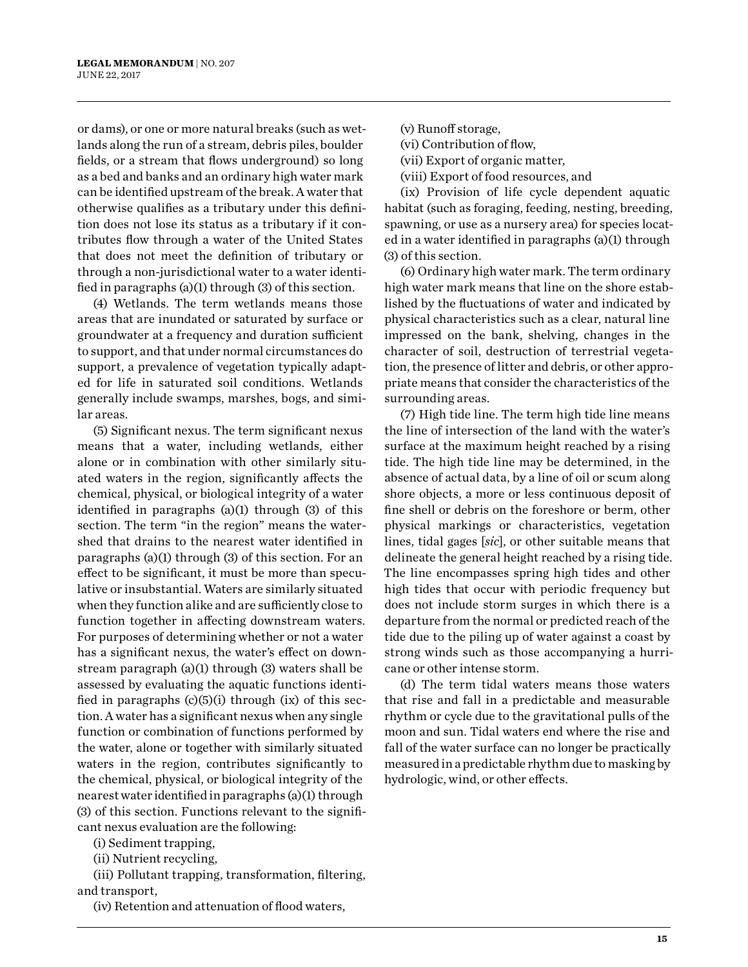or dams), or one or more natural breaks (such as wetlands along the run of a stream, debris piles, boulder fields, or a stream that flows underground) so long as a bed and banks and an ordinary high water mark can be identified upstream of the break. A water that otherwise qualifies as a tributary under this definition does not lose its status as a tributary if it contributes flow through a water of the United States that does not meet the definition of tributary or through a non-jurisdictional water to a water identified in paragraphs (a)(1) through (3) of this section.

(4) Wetlands. The term wetlands means those areas that are inundated or saturated by surface or groundwater at a frequency and duration sufficient to support, and that under normal circumstances do support, a prevalence of vegetation typically adapted for life in saturated soil conditions. Wetlands generally include swamps, marshes, bogs, and similar areas.

(5) Significant nexus. The term significant nexus means that a water, including wetlands, either alone or in combination with other similarly situated waters in the region, significantly affects the chemical, physical, or biological integrity of a water identified in paragraphs (a)(1) through (3) of this section. The term "in the region" means the watershed that drains to the nearest water identified in paragraphs (a)(1) through (3) of this section. For an effect to be significant, it must be more than speculative or insubstantial. Waters are similarly situated when they function alike and are sufficiently close to function together in affecting downstream waters. For purposes of determining whether or not a water has a significant nexus, the water's effect on downstream paragraph (a)(1) through (3) waters shall be assessed by evaluating the aquatic functions identified in paragraphs  $(c)(5)(i)$  through  $(ix)$  of this section. A water has a significant nexus when any single function or combination of functions performed by the water, alone or together with similarly situated waters in the region, contributes significantly to the chemical, physical, or biological integrity of the nearest water identified in paragraphs (a)(1) through (3) of this section. Functions relevant to the significant nexus evaluation are the following:

(i) Sediment trapping,

(ii) Nutrient recycling,

(iii) Pollutant trapping, transformation, filtering, and transport,

(iv) Retention and attenuation of flood waters,

(v) Runoff storage,

(vi) Contribution of flow,

(vii) Export of organic matter,

(viii) Export of food resources, and

(ix) Provision of life cycle dependent aquatic habitat (such as foraging, feeding, nesting, breeding, spawning, or use as a nursery area) for species located in a water identified in paragraphs (a)(1) through (3) of this section.

(6) Ordinary high water mark. The term ordinary high water mark means that line on the shore established by the fluctuations of water and indicated by physical characteristics such as a clear, natural line impressed on the bank, shelving, changes in the character of soil, destruction of terrestrial vegetation, the presence of litter and debris, or other appropriate means that consider the characteristics of the surrounding areas.

(7) High tide line. The term high tide line means the line of intersection of the land with the water's surface at the maximum height reached by a rising tide. The high tide line may be determined, in the absence of actual data, by a line of oil or scum along shore objects, a more or less continuous deposit of fine shell or debris on the foreshore or berm, other physical markings or characteristics, vegetation lines, tidal gages [*sic*], or other suitable means that delineate the general height reached by a rising tide. The line encompasses spring high tides and other high tides that occur with periodic frequency but does not include storm surges in which there is a departure from the normal or predicted reach of the tide due to the piling up of water against a coast by strong winds such as those accompanying a hurricane or other intense storm.

(d) The term tidal waters means those waters that rise and fall in a predictable and measurable rhythm or cycle due to the gravitational pulls of the moon and sun. Tidal waters end where the rise and fall of the water surface can no longer be practically measured in a predictable rhythm due to masking by hydrologic, wind, or other effects.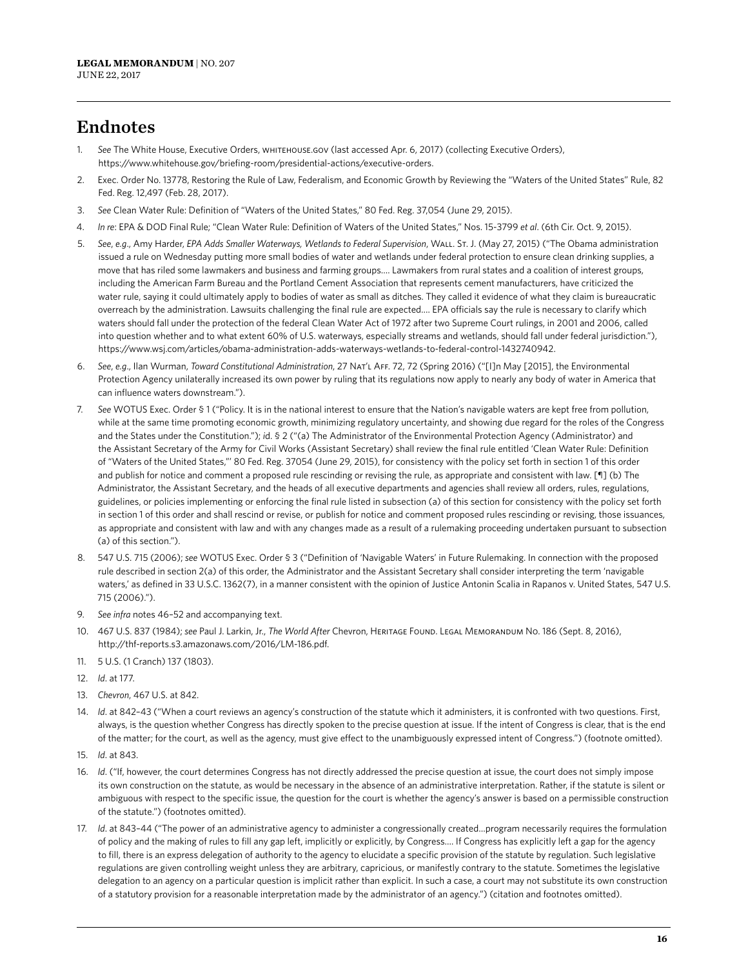## Endnotes

- 1. *See* The White House, Executive Orders, whitehouse.gov (last accessed Apr. 6, 2017) (collecting Executive Orders), https://www.whitehouse.gov/briefing-room/presidential-actions/executive-orders.
- 2. Exec. Order No. 13778, Restoring the Rule of Law, Federalism, and Economic Growth by Reviewing the "Waters of the United States" Rule, 82 Fed. Reg. 12,497 (Feb. 28, 2017).
- 3. *See* Clean Water Rule: Definition of "Waters of the United States," 80 Fed. Reg. 37,054 (June 29, 2015).
- 4. *In re*: EPA & DOD Final Rule; "Clean Water Rule: Definition of Waters of the United States," Nos. 15-3799 *et al*. (6th Cir. Oct. 9, 2015).
- 5. *See*, *e.g*., Amy Harder, *EPA Adds Smaller Waterways, Wetlands to Federal Supervision*, Wall. St. J. (May 27, 2015) ("The Obama administration issued a rule on Wednesday putting more small bodies of water and wetlands under federal protection to ensure clean drinking supplies, a move that has riled some lawmakers and business and farming groups…. Lawmakers from rural states and a coalition of interest groups, including the American Farm Bureau and the Portland Cement Association that represents cement manufacturers, have criticized the water rule, saying it could ultimately apply to bodies of water as small as ditches. They called it evidence of what they claim is bureaucratic overreach by the administration. Lawsuits challenging the final rule are expected…. EPA officials say the rule is necessary to clarify which waters should fall under the protection of the federal Clean Water Act of 1972 after two Supreme Court rulings, in 2001 and 2006, called into question whether and to what extent 60% of U.S. waterways, especially streams and wetlands, should fall under federal jurisdiction."), https://www.wsj.com/articles/obama-administration-adds-waterways-wetlands-to-federal-control-1432740942.
- 6. *See*, *e.g*., Ilan Wurman, *Toward Constitutional Administration*, 27 Nat'l Aff. 72, 72 (Spring 2016) ("[I]n May [2015], the Environmental Protection Agency unilaterally increased its own power by ruling that its regulations now apply to nearly any body of water in America that can influence waters downstream.").
- 7. *See* WOTUS Exec. Order § 1 ("Policy. It is in the national interest to ensure that the Nation's navigable waters are kept free from pollution, while at the same time promoting economic growth, minimizing regulatory uncertainty, and showing due regard for the roles of the Congress and the States under the Constitution."); *i*d. § 2 ("(a) The Administrator of the Environmental Protection Agency (Administrator) and the Assistant Secretary of the Army for Civil Works (Assistant Secretary) shall review the final rule entitled 'Clean Water Rule: Definition of "Waters of the United States,"' 80 Fed. Reg. 37054 (June 29, 2015), for consistency with the policy set forth in section 1 of this order and publish for notice and comment a proposed rule rescinding or revising the rule, as appropriate and consistent with law. [¶] (b) The Administrator, the Assistant Secretary, and the heads of all executive departments and agencies shall review all orders, rules, regulations, guidelines, or policies implementing or enforcing the final rule listed in subsection (a) of this section for consistency with the policy set forth in section 1 of this order and shall rescind or revise, or publish for notice and comment proposed rules rescinding or revising, those issuances, as appropriate and consistent with law and with any changes made as a result of a rulemaking proceeding undertaken pursuant to subsection (a) of this section.").
- 8. 547 U.S. 715 (2006); *see* WOTUS Exec. Order § 3 ("Definition of 'Navigable Waters' in Future Rulemaking. In connection with the proposed rule described in section 2(a) of this order, the Administrator and the Assistant Secretary shall consider interpreting the term 'navigable waters,' as defined in 33 U.S.C. 1362(7), in a manner consistent with the opinion of Justice Antonin Scalia in Rapanos v. United States, 547 U.S. 715 (2006).").
- 9. *See infra* notes 46–52 and accompanying text.
- 10. 467 U.S. 837 (1984); *see* Paul J. Larkin, Jr., *The World After* Chevron, Heritage Found. Legal Memorandum No. 186 (Sept. 8, 2016), http://thf-reports.s3.amazonaws.com/2016/LM-186.pdf.
- 11. 5 U.S. (1 Cranch) 137 (1803).
- 12. *Id*. at 177.
- 13. *Chevron*, 467 U.S. at 842.
- 14. *Id*. at 842–43 ("When a court reviews an agency's construction of the statute which it administers, it is confronted with two questions. First, always, is the question whether Congress has directly spoken to the precise question at issue. If the intent of Congress is clear, that is the end of the matter; for the court, as well as the agency, must give effect to the unambiguously expressed intent of Congress.") (footnote omitted).
- 15. *Id*. at 843.
- 16. *Id*. ("If, however, the court determines Congress has not directly addressed the precise question at issue, the court does not simply impose its own construction on the statute, as would be necessary in the absence of an administrative interpretation. Rather, if the statute is silent or ambiguous with respect to the specific issue, the question for the court is whether the agency's answer is based on a permissible construction of the statute.") (footnotes omitted).
- 17. *Id*. at 843–44 ("The power of an administrative agency to administer a congressionally created…program necessarily requires the formulation of policy and the making of rules to fill any gap left, implicitly or explicitly, by Congress…. If Congress has explicitly left a gap for the agency to fill, there is an express delegation of authority to the agency to elucidate a specific provision of the statute by regulation. Such legislative regulations are given controlling weight unless they are arbitrary, capricious, or manifestly contrary to the statute. Sometimes the legislative delegation to an agency on a particular question is implicit rather than explicit. In such a case, a court may not substitute its own construction of a statutory provision for a reasonable interpretation made by the administrator of an agency.") (citation and footnotes omitted).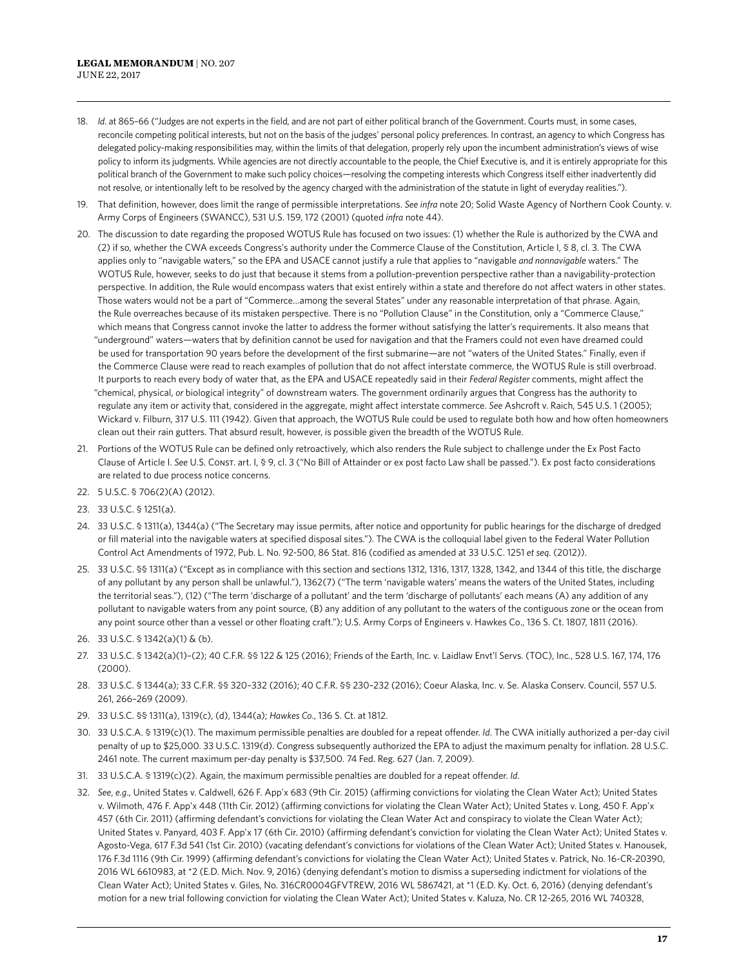- 18. *Id*. at 865–66 ("Judges are not experts in the field, and are not part of either political branch of the Government. Courts must, in some cases, reconcile competing political interests, but not on the basis of the judges' personal policy preferences. In contrast, an agency to which Congress has delegated policy-making responsibilities may, within the limits of that delegation, properly rely upon the incumbent administration's views of wise policy to inform its judgments. While agencies are not directly accountable to the people, the Chief Executive is, and it is entirely appropriate for this political branch of the Government to make such policy choices—resolving the competing interests which Congress itself either inadvertently did not resolve, or intentionally left to be resolved by the agency charged with the administration of the statute in light of everyday realities.").
- 19. That definition, however, does limit the range of permissible interpretations. *See infra* note 20; Solid Waste Agency of Northern Cook County. v. Army Corps of Engineers (SWANCC), 531 U.S. 159, 172 (2001) (quoted *infra* note 44).
- 20. The discussion to date regarding the proposed WOTUS Rule has focused on two issues: (1) whether the Rule is authorized by the CWA and (2) if so, whether the CWA exceeds Congress's authority under the Commerce Clause of the Constitution, Article I, § 8, cl. 3. The CWA applies only to "navigable waters," so the EPA and USACE cannot justify a rule that applies to "navigable *and nonnavigable* waters." The WOTUS Rule, however, seeks to do just that because it stems from a pollution-prevention perspective rather than a navigability-protection perspective. In addition, the Rule would encompass waters that exist entirely within a state and therefore do not affect waters in other states. Those waters would not be a part of "Commerce…among the several States" under any reasonable interpretation of that phrase. Again, the Rule overreaches because of its mistaken perspective. There is no "Pollution Clause" in the Constitution, only a "Commerce Clause," which means that Congress cannot invoke the latter to address the former without satisfying the latter's requirements. It also means that "underground" waters—waters that by definition cannot be used for navigation and that the Framers could not even have dreamed could be used for transportation 90 years before the development of the first submarine—are not "waters of the United States." Finally, even if the Commerce Clause were read to reach examples of pollution that do not affect interstate commerce, the WOTUS Rule is still overbroad. It purports to reach every body of water that, as the EPA and USACE repeatedly said in their *Federal Register* comments, might affect the "chemical, physical, *or* biological integrity" of downstream waters. The government ordinarily argues that Congress has the authority to regulate any item or activity that, considered in the aggregate, might affect interstate commerce. *See* Ashcroft v. Raich, 545 U.S. 1 (2005); Wickard v. Filburn, 317 U.S. 111 (1942). Given that approach, the WOTUS Rule could be used to regulate both how and how often homeowners clean out their rain gutters. That absurd result, however, is possible given the breadth of the WOTUS Rule.
- 21. Portions of the WOTUS Rule can be defined only retroactively, which also renders the Rule subject to challenge under the Ex Post Facto Clause of Article I. *See* U.S. Const. art. I, § 9, cl. 3 ("No Bill of Attainder or ex post facto Law shall be passed."). Ex post facto considerations are related to due process notice concerns.
- 22. 5 U.S.C. § 706(2)(A) (2012).
- 23. 33 U.S.C. § 1251(a).
- 24. 33 U.S.C. § 1311(a), 1344(a) ("The Secretary may issue permits, after notice and opportunity for public hearings for the discharge of dredged or fill material into the navigable waters at specified disposal sites."). The CWA is the colloquial label given to the Federal Water Pollution Control Act Amendments of 1972, Pub. L. No. 92-500, 86 Stat. 816 (codified as amended at 33 U.S.C. 1251 *et seq.* (2012)).
- 25. 33 U.S.C. §§ 1311(a) ("Except as in compliance with this section and sections 1312, 1316, 1317, 1328, 1342, and 1344 of this title, the discharge of any pollutant by any person shall be unlawful."), 1362(7) ("The term 'navigable waters' means the waters of the United States, including the territorial seas."), (12) ("The term 'discharge of a pollutant' and the term 'discharge of pollutants' each means (A) any addition of any pollutant to navigable waters from any point source, (B) any addition of any pollutant to the waters of the contiguous zone or the ocean from any point source other than a vessel or other floating craft."); U.S. Army Corps of Engineers v. Hawkes Co., 136 S. Ct. 1807, 1811 (2016).
- 26. 33 U.S.C. § 1342(a)(1) & (b).
- 27. 33 U.S.C. § 1342(a)(1)–(2); 40 C.F.R. §§ 122 & 125 (2016); Friends of the Earth, Inc. v. Laidlaw Envt'l Servs. (TOC), Inc*.*, 528 U.S. 167, 174, 176 (2000).
- 28. 33 U.S.C. § 1344(a); 33 C.F.R. §§ 320–332 (2016); 40 C.F.R. §§ 230–232 (2016); Coeur Alaska, Inc. v. Se. Alaska Conserv. Council, 557 U.S. 261, 266–269 (2009).
- 29. 33 U.S.C. §§ 1311(a), 1319(c), (d), 1344(a); *Hawkes Co*., 136 S. Ct. at 1812.
- 30. 33 U.S.C.A. § 1319(c)(1). The maximum permissible penalties are doubled for a repeat offender. *Id*. The CWA initially authorized a per-day civil penalty of up to \$25,000. 33 U.S.C. 1319(d). Congress subsequently authorized the EPA to adjust the maximum penalty for inflation. 28 U.S.C. 2461 note. The current maximum per-day penalty is \$37,500. 74 Fed. Reg. 627 (Jan. 7, 2009).
- 31. 33 U.S.C.A. § 1319(c)(2). Again, the maximum permissible penalties are doubled for a repeat offender. *Id*.
- 32. *See*, *e.g*., [United States v. Caldwell](https://1.next.westlaw.com/Document/I59b3fc3e613b11e590d4edf60ce7d742/View/FullText.html?navigationPath=Search%2Fv3%2Fsearch%2Fresults%2Fnavigation%2Fi0ad740370000015b3f75a0cba95b8ba2%3FNav%3DCASE%26fragmentIdentifier%3DI59b3fc3e613b11e590d4edf60ce7d742%26startIndex%3D1%26contextData%3D%2528sc.Search%2529%26transitionType%3DSearchItem&listSource=Search&listPageSource=5af83b1c1b128a9e09dfc4ed1931c0f2&list=CASE&rank=36&sessionScopeId=2243bbe763075502ea1d12c0db9644cdfdae83ec536da336a8663fa16c0ed180&originationContext=Search%20Result&transitionType=SearchItem&contextData=%28sc.Search%29), 626 F. App'x 683 (9th Cir. 2015) (affirming convictions for violating the Clean Water Act); [United States](https://1.next.westlaw.com/Document/I2741477e887b11e1ac60ad556f635d49/View/FullText.html?navigationPath=Search%2Fv3%2Fsearch%2Fresults%2Fnavigation%2Fi0ad740370000015b3f75a0cba95b8ba2%3FNav%3DCASE%26fragmentIdentifier%3DI2741477e887b11e1ac60ad556f635d49%26startIndex%3D1%26contextData%3D%2528sc.Search%2529%26transitionType%3DSearchItem&listSource=Search&listPageSource=5af83b1c1b128a9e09dfc4ed1931c0f2&list=CASE&rank=37&sessionScopeId=2243bbe763075502ea1d12c0db9644cdfdae83ec536da336a8663fa16c0ed180&originationContext=Search%20Result&transitionType=SearchItem&contextData=%28sc.Search%29)  [v. Wilmoth,](https://1.next.westlaw.com/Document/I2741477e887b11e1ac60ad556f635d49/View/FullText.html?navigationPath=Search%2Fv3%2Fsearch%2Fresults%2Fnavigation%2Fi0ad740370000015b3f75a0cba95b8ba2%3FNav%3DCASE%26fragmentIdentifier%3DI2741477e887b11e1ac60ad556f635d49%26startIndex%3D1%26contextData%3D%2528sc.Search%2529%26transitionType%3DSearchItem&listSource=Search&listPageSource=5af83b1c1b128a9e09dfc4ed1931c0f2&list=CASE&rank=37&sessionScopeId=2243bbe763075502ea1d12c0db9644cdfdae83ec536da336a8663fa16c0ed180&originationContext=Search%20Result&transitionType=SearchItem&contextData=%28sc.Search%29) 476 F. App'x 448 (11th Cir. 2012) (affirming convictions for violating the Clean Water Act); [United States v. Long](https://1.next.westlaw.com/Document/I645a53481d1711e1bc27967e57e99458/View/FullText.html?navigationPath=Search%2Fv3%2Fsearch%2Fresults%2Fnavigation%2Fi0ad740370000015b3f70d539a95b8615%3FNav%3DCASE%26fragmentIdentifier%3DI645a53481d1711e1bc27967e57e99458%26startIndex%3D1%26contextData%3D%2528sc.Search%2529%26transitionType%3DSearchItem&listSource=Search&listPageSource=0a92da0fd14159e450fec95b9cfe3b64&list=CASE&rank=3&sessionScopeId=af7e2a6778223fb67a0bcad96079ab1227ba0ee316b14952340239b5098256d1&originationContext=Search%20Result&transitionType=SearchItem&contextData=%28sc.Search%29), 450 F. App'x 457 (6th Cir. 2011) (affirming defendant's convictions for violating the Clean Water Act and conspiracy to violate the Clean Water Act); [United States v. Panyard,](https://1.next.westlaw.com/Document/I5428667ff3dd11df80558336ea473530/View/FullText.html?navigationPath=Search%2Fv3%2Fsearch%2Fresults%2Fnavigation%2Fi0ad740370000015b3f75a0cba95b8ba2%3FNav%3DCASE%26fragmentIdentifier%3DI5428667ff3dd11df80558336ea473530%26startIndex%3D1%26contextData%3D%2528sc.Search%2529%26transitionType%3DSearchItem&listSource=Search&listPageSource=5af83b1c1b128a9e09dfc4ed1931c0f2&list=CASE&rank=46&sessionScopeId=2243bbe763075502ea1d12c0db9644cdfdae83ec536da336a8663fa16c0ed180&originationContext=Search%20Result&transitionType=SearchItem&contextData=%28sc.Search%29) 403 F. App'x 17 (6th Cir. 2010) (affirming defendant's conviction for violating the Clean Water Act); [United States v.](https://1.next.westlaw.com/Document/I168b4a87b02511df952a80d2993fba83/View/FullText.html?navigationPath=Search%2Fv3%2Fsearch%2Fresults%2Fnavigation%2Fi0ad740370000015b3f75a0cba95b8ba2%3FNav%3DCASE%26fragmentIdentifier%3DI168b4a87b02511df952a80d2993fba83%26startIndex%3D1%26contextData%3D%2528sc.Search%2529%26transitionType%3DSearchItem&listSource=Search&listPageSource=d9d1daa0b35c846f0901d485996eb509&list=CASE&rank=7&sessionScopeId=af7e2a6778223fb67a0bcad96079ab1227ba0ee316b14952340239b5098256d1&originationContext=Search%20Result&transitionType=SearchItem&contextData=%28sc.Search%29)  [Agosto-Vega,](https://1.next.westlaw.com/Document/I168b4a87b02511df952a80d2993fba83/View/FullText.html?navigationPath=Search%2Fv3%2Fsearch%2Fresults%2Fnavigation%2Fi0ad740370000015b3f75a0cba95b8ba2%3FNav%3DCASE%26fragmentIdentifier%3DI168b4a87b02511df952a80d2993fba83%26startIndex%3D1%26contextData%3D%2528sc.Search%2529%26transitionType%3DSearchItem&listSource=Search&listPageSource=d9d1daa0b35c846f0901d485996eb509&list=CASE&rank=7&sessionScopeId=af7e2a6778223fb67a0bcad96079ab1227ba0ee316b14952340239b5098256d1&originationContext=Search%20Result&transitionType=SearchItem&contextData=%28sc.Search%29) 617 F.3d 541 (1st Cir. 2010) (vacating defendant's convictions for violations of the Clean Water Act); United States v. Hanousek, 176 F.3d 1116 (9th Cir. 1999) (affirming defendant's convictions for violating the Clean Water Act); [United States v. Patrick,](https://1.next.westlaw.com/Document/Id67fe7f0a71411e690aea7acddbc05a6/View/FullText.html?navigationPath=Search%2Fv3%2Fsearch%2Fresults%2Fnavigation%2Fi0ad740370000015b3f75a0cba95b8ba2%3FNav%3DCASE%26fragmentIdentifier%3DId67fe7f0a71411e690aea7acddbc05a6%26startIndex%3D1%26contextData%3D%2528sc.Search%2529%26transitionType%3DSearchItem&listSource=Search&listPageSource=5af83b1c1b128a9e09dfc4ed1931c0f2&list=CASE&rank=56&sessionScopeId=2243bbe763075502ea1d12c0db9644cdfdae83ec536da336a8663fa16c0ed180&originationContext=Search%20Result&transitionType=SearchItem&contextData=%28sc.Search%29) No. 16-CR-20390, 2016 WL 6610983, at \*2 (E.D. Mich. Nov. 9, 2016) (denying defendant's motion to dismiss a superseding indictment for violations of the Clean Water Act); [United States v. Giles,](https://1.next.westlaw.com/Document/Ib6cda9c08d5f11e6b63ccfe393a33906/View/FullText.html?navigationPath=Search%2Fv3%2Fsearch%2Fresults%2Fnavigation%2Fi0ad740370000015b3f75a0cba95b8ba2%3FNav%3DCASE%26fragmentIdentifier%3DIb6cda9c08d5f11e6b63ccfe393a33906%26startIndex%3D1%26contextData%3D%2528sc.Search%2529%26transitionType%3DSearchItem&listSource=Search&listPageSource=5af83b1c1b128a9e09dfc4ed1931c0f2&list=CASE&rank=40&sessionScopeId=2243bbe763075502ea1d12c0db9644cdfdae83ec536da336a8663fa16c0ed180&originationContext=Search%20Result&transitionType=SearchItem&contextData=%28sc.Search%29) No. 316CR0004GFVTREW, 2016 WL 5867421, at \*1 (E.D. Ky. Oct. 6, 2016) (denying defendant's motion for a new trial following conviction for violating the Clean Water Act); [United States v. Kaluza,](https://1.next.westlaw.com/Document/Ifee896f0dc6d11e593d3f989482fc037/View/FullText.html?navigationPath=Search%2Fv3%2Fsearch%2Fresults%2Fnavigation%2Fi0ad740370000015b3f75a0cba95b8ba2%3FNav%3DCASE%26fragmentIdentifier%3DIfee896f0dc6d11e593d3f989482fc037%26startIndex%3D1%26contextData%3D%2528sc.Search%2529%26transitionType%3DSearchItem&listSource=Search&listPageSource=5af83b1c1b128a9e09dfc4ed1931c0f2&list=CASE&rank=52&sessionScopeId=2243bbe763075502ea1d12c0db9644cdfdae83ec536da336a8663fa16c0ed180&originationContext=Search%20Result&transitionType=SearchItem&contextData=%28sc.Search%29) No. CR 12-265, 2016 WL 740328,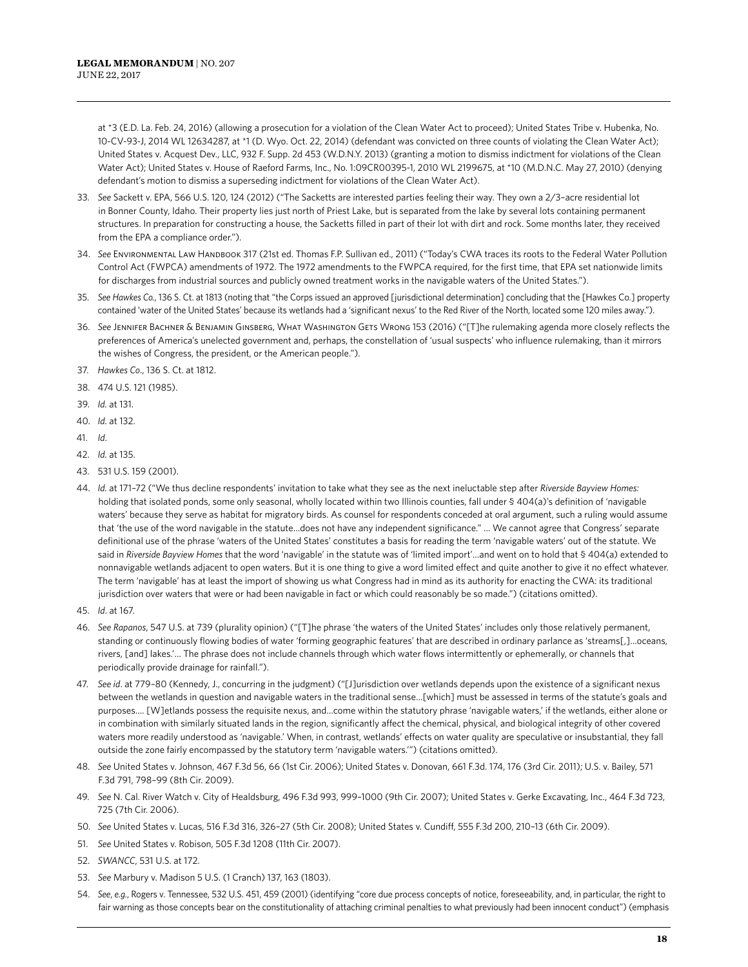at \*3 (E.D. La. Feb. 24, 2016) (allowing a prosecution for a violation of the Clean Water Act to proceed); [United States Tribe v. Hubenka](https://1.next.westlaw.com/Document/I22122700d12c11e6baa1908cf5e442f5/View/FullText.html?navigationPath=Search%2Fv3%2Fsearch%2Fresults%2Fnavigation%2Fi0ad740370000015b3f75a0cba95b8ba2%3FNav%3DCASE%26fragmentIdentifier%3DI22122700d12c11e6baa1908cf5e442f5%26startIndex%3D1%26contextData%3D%2528sc.Search%2529%26transitionType%3DSearchItem&listSource=Search&listPageSource=d9d1daa0b35c846f0901d485996eb509&list=CASE&rank=4&sessionScopeId=af7e2a6778223fb67a0bcad96079ab1227ba0ee316b14952340239b5098256d1&originationContext=Search%20Result&transitionType=SearchItem&contextData=%28sc.Search%29), No. 10-CV-93-J, 2014 WL 12634287, at \*1 (D. Wyo. Oct. 22, 2014) (defendant was convicted on three counts of violating the Clean Water Act); [United States v. Acquest Dev., LLC,](https://1.next.westlaw.com/Document/Idb38b0bf96ec11e2a555d241dae65084/View/FullText.html?navigationPath=Search%2Fv3%2Fsearch%2Fresults%2Fnavigation%2Fi0ad740370000015b3f75a0cba95b8ba2%3FNav%3DCASE%26fragmentIdentifier%3DIdb38b0bf96ec11e2a555d241dae65084%26startIndex%3D1%26contextData%3D%2528sc.Search%2529%26transitionType%3DSearchItem&listSource=Search&listPageSource=d9d1daa0b35c846f0901d485996eb509&list=CASE&rank=8&sessionScopeId=af7e2a6778223fb67a0bcad96079ab1227ba0ee316b14952340239b5098256d1&originationContext=Search%20Result&transitionType=SearchItem&contextData=%28sc.Search%29) 932 F. Supp. 2d 453 (W.D.N.Y. 2013) (granting a motion to dismiss indictment for violations of the Clean Water Act); [United States v. House of Raeford Farms, Inc.,](https://1.next.westlaw.com/Document/Ic91847af6f2c11dfaad3d35f6227d4a8/View/FullText.html?navigationPath=Search%2Fv3%2Fsearch%2Fresults%2Fnavigation%2Fi0ad740370000015b3f75a0cba95b8ba2%3FNav%3DCASE%26fragmentIdentifier%3DIc91847af6f2c11dfaad3d35f6227d4a8%26startIndex%3D1%26contextData%3D%2528sc.Search%2529%26transitionType%3DSearchItem&listSource=Search&listPageSource=d9d1daa0b35c846f0901d485996eb509&list=CASE&rank=6&sessionScopeId=af7e2a6778223fb67a0bcad96079ab1227ba0ee316b14952340239b5098256d1&originationContext=Search%20Result&transitionType=SearchItem&contextData=%28sc.Search%29) No. 1:09CR00395-1, 2010 WL 2199675, at \*10 (M.D.N.C. May 27, 2010) (denying defendant's motion to dismiss a superseding indictment for violations of the Clean Water Act).

- 33. *See* Sackett v. EPA, 566 U.S. 120, 124 (2012) ("The Sacketts are interested parties feeling their way. They own a 2/3–acre residential lot in Bonner County, Idaho. Their property lies just north of Priest Lake, but is separated from the lake by several lots containing permanent structures. In preparation for constructing a house, the Sacketts filled in part of their lot with dirt and rock. Some months later, they received from the EPA a compliance order.").
- 34. *See* Environmental Law Handbook 317 (21st ed. Thomas F.P. Sullivan ed., 2011) ("Today's CWA traces its roots to the Federal Water Pollution Control Act (FWPCA) amendments of 1972. The 1972 amendments to the FWPCA required, for the first time, that EPA set nationwide limits for discharges from industrial sources and publicly owned treatment works in the navigable waters of the United States.").
- 35. *See Hawkes Co.*, 136 S. Ct. at 1813 (noting that "the Corps issued an approved [jurisdictional determination] concluding that the [Hawkes Co.] property contained 'water of the United States' because its wetlands had a 'significant nexus' to the Red River of the North, located some 120 miles away.").
- 36. *See* Jennifer Bachner & Benjamin Ginsberg, What Washington Gets Wrong 153 (2016) ("[T]he rulemaking agenda more closely reflects the preferences of America's unelected government and, perhaps, the constellation of 'usual suspects' who influence rulemaking, than it mirrors the wishes of Congress, the president, or the American people.").
- 37. *Hawkes Co*., 136 S. Ct. at 1812.
- 38. 474 U.S. 121 (1985).
- 39. *Id.* at 131.
- 40. *Id.* at 132.
- 41. *Id*.
- 42. *Id.* at 135.
- 43. 531 U.S. 159 (2001).
- 44. *Id.* at 171–72 ("We thus decline respondents' invitation to take what they see as the next ineluctable step after *Riverside Bayview Homes:* holding that isolated ponds, some only seasonal, wholly located within two Illinois counties, fall under § 404(a)'s definition of 'navigable waters' because they serve as habitat for migratory birds. As counsel for respondents conceded at oral argument, such a ruling would assume that 'the use of the word navigable in the statute…does not have any independent significance." … We cannot agree that Congress' separate definitional use of the phrase 'waters of the United States' constitutes a basis for reading the term 'navigable waters' out of the statute. We said in *Riverside Bayview Homes* that the word 'navigable' in the statute was of 'limited import'…and went on to hold that § 404(a) extended to nonnavigable wetlands adjacent to open waters. But it is one thing to give a word limited effect and quite another to give it no effect whatever. The term 'navigable' has at least the import of showing us what Congress had in mind as its authority for enacting the CWA: its traditional jurisdiction over waters that were or had been navigable in fact or which could reasonably be so made.") (citations omitted).
- 45. *Id*. at 167.
- 46. *See Rapanos*, 547 U.S. at 739 (plurality opinion) ("[T]he phrase 'the waters of the United States' includes only those relatively permanent, standing or continuously flowing bodies of water 'forming geographic features' that are described in ordinary parlance as 'streams[,]…oceans, rivers, [and] lakes.'… The phrase does not include channels through which water flows intermittently or ephemerally, or channels that periodically provide drainage for rainfall.").
- 47. *See id*. at 779–80 (Kennedy, J., concurring in the judgment) ("[J]urisdiction over wetlands depends upon the existence of a significant nexus between the wetlands in question and navigable waters in the traditional sense…[which] must be assessed in terms of the statute's goals and purposes…. [W]etlands possess the requisite nexus, and…come within the statutory phrase 'navigable waters,' if the wetlands, either alone or in combination with similarly situated lands in the region, significantly affect the chemical, physical, and biological integrity of other covered waters more readily understood as 'navigable.' When, in contrast, wetlands' effects on water quality are speculative or insubstantial, they fall outside the zone fairly encompassed by the statutory term 'navigable waters.'") (citations omitted).
- 48. *See* United States v. Johnson, 467 F.3d 56, 66 (1st Cir. 2006); United States v. Donovan, 661 F.3d. 174, 176 (3rd Cir. 2011); U.S. v. Bailey, 571 F.3d 791, 798–99 (8th Cir. 2009).
- 49. *See* N. Cal. River Watch v. City of Healdsburg, 496 F.3d 993, 999–1000 (9th Cir. 2007); United States v. Gerke Excavating, Inc., 464 F.3d 723, 725 (7th Cir. 2006).
- 50. *See* United States v. Lucas, 516 F.3d 316, 326–27 (5th Cir. 2008); United States v. Cundiff, 555 F.3d 200, 210–13 (6th Cir. 2009).
- 51. *See* United States v. Robison, 505 F.3d 1208 (11th Cir. 2007).
- 52. *SWANCC*, 531 U.S. at 172.
- 53. *See* Marbury v. Madison 5 U.S. (1 Cranch) 137, 163 (1803).
- 54. *See*, *e.g.*, Rogers v. Tennessee, 532 U.S. 451, 459 (2001) (identifying "core due process concepts of notice, foreseeability, and, in particular, the right to fair warning as those concepts bear on the constitutionality of attaching criminal penalties to what previously had been innocent conduct") (emphasis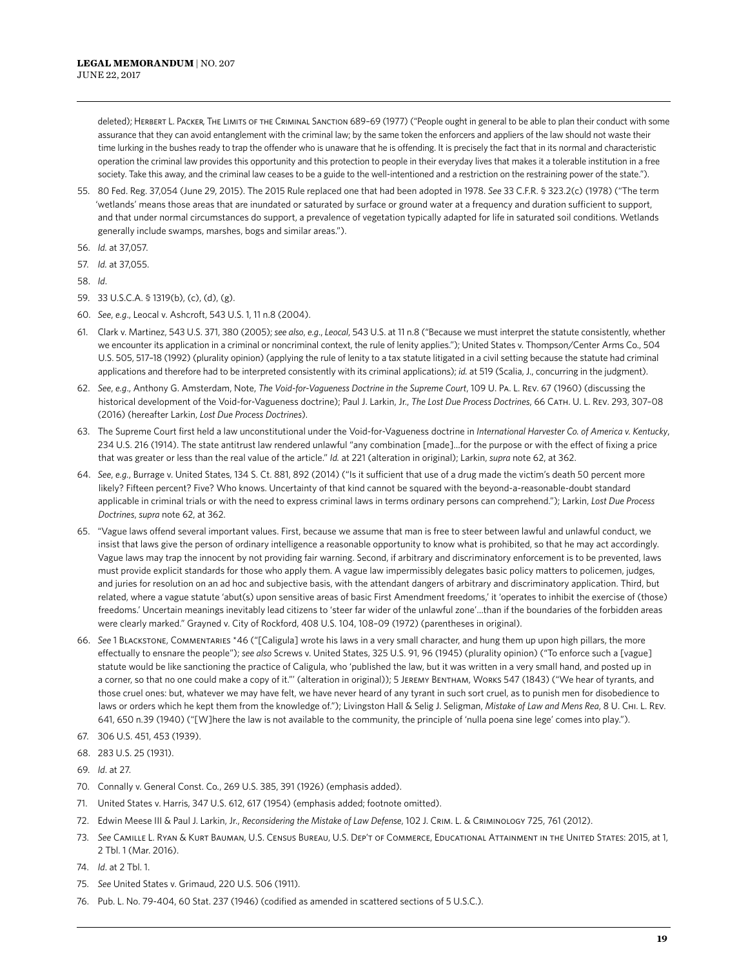deleted); Herbert L. Packer, The Limits of the Criminal Sanction 689–69 (1977) ("People ought in general to be able to plan their conduct with some assurance that they can avoid entanglement with the criminal law; by the same token the enforcers and appliers of the law should not waste their time lurking in the bushes ready to trap the offender who is unaware that he is offending. It is precisely the fact that in its normal and characteristic operation the criminal law provides this opportunity and this protection to people in their everyday lives that makes it a tolerable institution in a free society. Take this away, and the criminal law ceases to be a guide to the well-intentioned and a restriction on the restraining power of the state.").

- 55. 80 Fed. Reg. 37,054 (June 29, 2015). The 2015 Rule replaced one that had been adopted in 1978. *See* 33 C.F.R. § 323.2(c) (1978) ("The term 'wetlands' means those areas that are inundated or saturated by surface or ground water at a frequency and duration sufficient to support, and that under normal circumstances do support, a prevalence of vegetation typically adapted for life in saturated soil conditions. Wetlands generally include swamps, marshes, bogs and similar areas.").
- 56. *Id.* at 37,057.
- 57. *Id.* at 37,055.
- 58. *Id*.
- 59. 33 U.S.C.A. § 1319(b), (c), (d), (g).
- 60. *See*, *e.g*., Leocal v. Ashcroft, 543 U.S. 1, 11 n.8 (2004).
- 61. Clark v. Martinez, 543 U.S. 371, 380 (2005); *see also*, *e.g*., *Leocal*, 543 U.S. at 11 n.8 ("Because we must interpret the statute consistently, whether we encounter its application in a criminal or noncriminal context, the rule of lenity applies."); United States v. Thompson/Center Arms Co., 504 U.S. 505, 517–18 (1992) (plurality opinion) (applying the rule of lenity to a tax statute litigated in a civil setting because the statute had criminal applications and therefore had to be interpreted consistently with its criminal applications); *id.* at 519 (Scalia, J., concurring in the judgment).
- 62. *See*, *e.g*., Anthony G. Amsterdam, Note, *The Void-for-Vagueness Doctrine in the Supreme Court*, 109 U. Pa. L. Rev. 67 (1960) (discussing the historical development of the Void-for-Vagueness doctrine); Paul J. Larkin, Jr., *The Lost Due Process Doctrines*, 66 Cath. U. L. Rev. 293, 307–08 (2016) (hereafter Larkin, *Lost Due Process Doctrines*).
- 63. The Supreme Court first held a law unconstitutional under the Void-for-Vagueness doctrine in *International Harvester Co. of America v. Kentucky*, 234 U.S. 216 (1914). The state antitrust law rendered unlawful "any combination [made]…for the purpose or with the effect of fixing a price that was greater or less than the real value of the article." *Id.* at 221 (alteration in original); Larkin, *supra* note 62, at 362.
- 64. *See*, *e.g.*, Burrage v. United States, 134 S. Ct. 881, 892 (2014) ("Is it sufficient that use of a drug made the victim's death 50 percent more likely? Fifteen percent? Five? Who knows. Uncertainty of that kind cannot be squared with the beyond-a-reasonable-doubt standard applicable in criminal trials or with the need to express criminal laws in terms ordinary persons can comprehend."); Larkin, *Lost Due Process Doctrines*, *supra* note 62, at 362.
- 65. "Vague laws offend several important values. First, because we assume that man is free to steer between lawful and unlawful conduct, we insist that laws give the person of ordinary intelligence a reasonable opportunity to know what is prohibited, so that he may act accordingly. Vague laws may trap the innocent by not providing fair warning. Second, if arbitrary and discriminatory enforcement is to be prevented, laws must provide explicit standards for those who apply them. A vague law impermissibly delegates basic policy matters to policemen, judges, and juries for resolution on an ad hoc and subjective basis, with the attendant dangers of arbitrary and discriminatory application. Third, but related, where a vague statute 'abut(s) upon sensitive areas of basic First Amendment freedoms,' it 'operates to inhibit the exercise of (those) freedoms.' Uncertain meanings inevitably lead citizens to 'steer far wider of the unlawful zone'…than if the boundaries of the forbidden areas were clearly marked." Grayned v. City of Rockford, 408 U.S. 104, 108–09 (1972) (parentheses in original).
- 66. *See* 1 Blackstone, Commentaries \*46 ("[Caligula] wrote his laws in a very small character, and hung them up upon high pillars, the more effectually to ensnare the people"); *see also* Screws v. United States, 325 U.S. 91, 96 (1945) (plurality opinion) ("To enforce such a [vague] statute would be like sanctioning the practice of Caligula, who 'published the law, but it was written in a very small hand, and posted up in a corner, so that no one could make a copy of it."' (alteration in original)); 5 Jeremy Bentham, Works 547 (1843) ("We hear of tyrants, and those cruel ones: but, whatever we may have felt, we have never heard of any tyrant in such sort cruel, as to punish men for disobedience to laws or orders which he kept them from the knowledge of."); Livingston Hall & Selig J. Seligman, *Mistake of Law and Mens Rea*, 8 U. Chi. L. Rev. 641, 650 n.39 (1940) ("[W]here the law is not available to the community, the principle of 'nulla poena sine lege' comes into play.").
- 67. 306 U.S. 451, 453 (1939).
- 68. 283 U.S. 25 (1931).
- 69. *Id*. at 27.
- 70. Connally v. General Const. Co*.*, 269 U.S. 385, 391 (1926) (emphasis added).
- 71. United States v. Harris, 347 U.S. 612, 617 (1954) (emphasis added; footnote omitted).
- 72. Edwin Meese III & Paul J. Larkin, Jr., *Reconsidering the Mistake of Law Defense*, 102 J. Crim. L. & Criminology 725, 761 (2012).
- 73. *See* Camille L. Ryan & Kurt Bauman, U.S. Census Bureau, U.S. Dep't of Commerce, Educational Attainment in the United States: 2015, at 1, 2 Tbl. 1 (Mar. 2016).
- 74. *Id*. at 2 Tbl. 1.
- 75. *See* United States v. Grimaud, 220 U.S. 506 (1911).
- 76. Pub. L. No. 79-404, 60 Stat. 237 (1946) (codified as amended in scattered sections of 5 U.S.C.).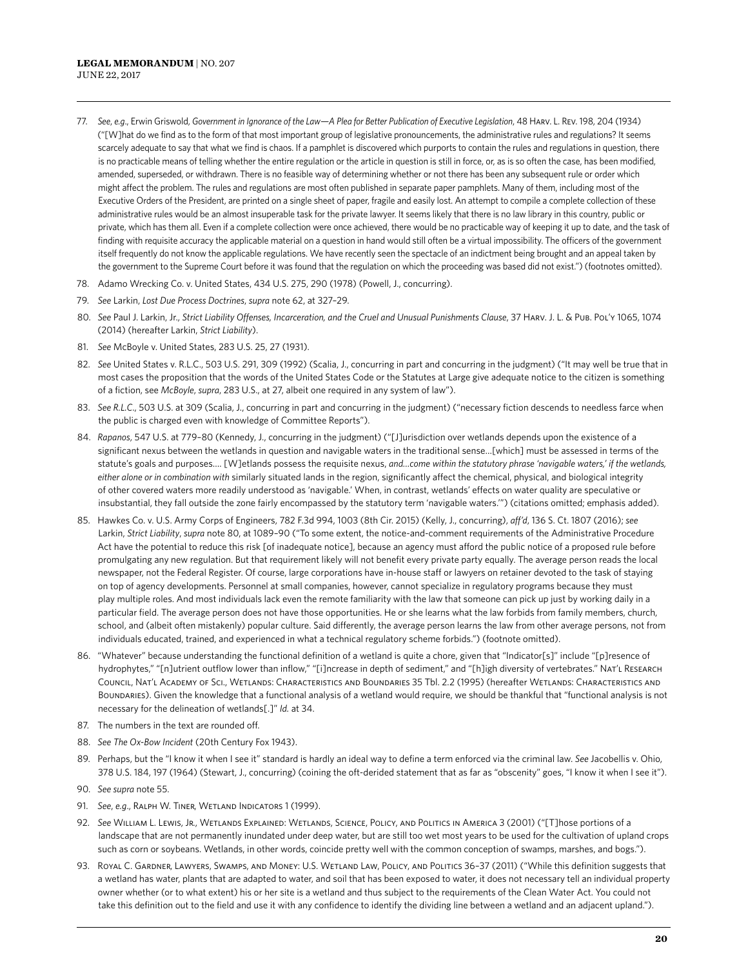- 77. *See*, *e.g*., Erwin Griswold, *Government in Ignorance of the Law—A Plea for Better Publication of Executive Legislation*, 48 Harv. L. Rev. 198, 204 (1934) ("[W]hat do we find as to the form of that most important group of legislative pronouncements, the administrative rules and regulations? It seems scarcely adequate to say that what we find is chaos. If a pamphlet is discovered which purports to contain the rules and regulations in question, there is no practicable means of telling whether the entire regulation or the article in question is still in force, or, as is so often the case, has been modified, amended, superseded, or withdrawn. There is no feasible way of determining whether or not there has been any subsequent rule or order which might affect the problem. The rules and regulations are most often published in separate paper pamphlets. Many of them, including most of the Executive Orders of the President, are printed on a single sheet of paper, fragile and easily lost. An attempt to compile a complete collection of these administrative rules would be an almost insuperable task for the private lawyer. It seems likely that there is no law library in this country, public or private, which has them all. Even if a complete collection were once achieved, there would be no practicable way of keeping it up to date, and the task of finding with requisite accuracy the applicable material on a question in hand would still often be a virtual impossibility. The officers of the government itself frequently do not know the applicable regulations. We have recently seen the spectacle of an indictment being brought and an appeal taken by the government to the Supreme Court before it was found that the regulation on which the proceeding was based did not exist.") (footnotes omitted).
- 78. Adamo Wrecking Co. v. United States, 434 U.S. 275, 290 (1978) (Powell, J., concurring).
- 79. *See* Larkin, *Lost Due Process Doctrines*, *supra* note 62, at 327–29.
- 80. *See* Paul J. Larkin, Jr., *Strict Liability Offenses, Incarceration, and the Cruel and Unusual Punishments Clause*, 37 Harv. J. L. & Pub. Pol'y 1065, 1074 (2014) (hereafter Larkin, *Strict Liability*).
- 81. *See* McBoyle v. United States, 283 U.S. 25, 27 (1931).
- 82. *See* United States v. R.L.C., 503 U.S. 291, 309 (1992) (Scalia, J., concurring in part and concurring in the judgment) ("It may well be true that in most cases the proposition that the words of the United States Code or the Statutes at Large give adequate notice to the citizen is something of a fiction, see *McBoyle*, *supra*, 283 U.S., at 27, albeit one required in any system of law").
- 83. See R.L.C., 503 U.S. at 309 (Scalia, J., concurring in part and concurring in the judgment) ("necessary fiction descends to needless farce when the public is charged even with knowledge of Committee Reports").
- 84. *Rapanos*, 547 U.S. at 779–80 (Kennedy, J., concurring in the judgment) ("[J]urisdiction over wetlands depends upon the existence of a significant nexus between the wetlands in question and navigable waters in the traditional sense…[which] must be assessed in terms of the statute's goals and purposes…. [W]etlands possess the requisite nexus, *and…come within the statutory phrase 'navigable waters,' if the wetlands, either alone or in combination with* similarly situated lands in the region, significantly affect the chemical, physical, and biological integrity of other covered waters more readily understood as 'navigable.' When, in contrast, wetlands' effects on water quality are speculative or insubstantial, they fall outside the zone fairly encompassed by the statutory term 'navigable waters.'") (citations omitted; emphasis added).
- 85. Hawkes Co. v. U.S. Army Corps of Engineers, 782 F.3d 994, 1003 (8th Cir. 2015) (Kelly, J., concurring), *aff'd*, 136 S. Ct. 1807 (2016); *see* Larkin, *Strict Liability*, *supra* note 80, at 1089–90 ("To some extent, the notice-and-comment requirements of the Administrative Procedure Act have the potential to reduce this risk [of inadequate notice], because an agency must afford the public notice of a proposed rule before promulgating any new regulation. But that requirement likely will not benefit every private party equally. The average person reads the local newspaper, not the Federal Register. Of course, large corporations have in-house staff or lawyers on retainer devoted to the task of staying on top of agency developments. Personnel at small companies, however, cannot specialize in regulatory programs because they must play multiple roles. And most individuals lack even the remote familiarity with the law that someone can pick up just by working daily in a particular field. The average person does not have those opportunities. He or she learns what the law forbids from family members, church, school, and (albeit often mistakenly) popular culture. Said differently, the average person learns the law from other average persons, not from individuals educated, trained, and experienced in what a technical regulatory scheme forbids.") (footnote omitted).
- 86. "Whatever" because understanding the functional definition of a wetland is quite a chore, given that "Indicator[s]" include "[p]resence of hydrophytes," "[n]utrient outflow lower than inflow," "[i]ncrease in depth of sediment," and "[h]igh diversity of vertebrates." Nat'L RESEARCH Council, Nat'l Academy of Sci., Wetlands: Characteristics and Boundaries 35 Tbl. 2.2 (1995) (hereafter Wetlands: Characteristics and Boundaries). Given the knowledge that a functional analysis of a wetland would require, we should be thankful that "functional analysis is not necessary for the delineation of wetlands[.]" *Id.* at 34.
- 87. The numbers in the text are rounded off.
- 88. *See The Ox-Bow Incident* (20th Century Fox 1943).
- 89. Perhaps, but the "I know it when I see it" standard is hardly an ideal way to define a term enforced via the criminal law. *See* Jacobellis v. Ohio, 378 U.S. 184, 197 (1964) (Stewart, J., concurring) (coining the oft-derided statement that as far as "obscenity" goes, "I know it when I see it").
- 90. *See supra* note 55.
- 91. *See, e.g., RALPH W. TINER, WETLAND INDICATORS 1 (1999).*
- 92. *See* William L. Lewis, Jr., Wetlands Explained: Wetlands, Science, Policy, and Politics in America 3 (2001) ("[T]hose portions of a landscape that are not permanently inundated under deep water, but are still too wet most years to be used for the cultivation of upland crops such as corn or soybeans. Wetlands, in other words, coincide pretty well with the common conception of swamps, marshes, and bogs.").
- 93. Royal C. Gardner, Lawyers, Swamps, and Money: U.S. Wetland Law, Policy, and Politics 36-37 (2011) ("While this definition suggests that a wetland has water, plants that are adapted to water, and soil that has been exposed to water, it does not necessary tell an individual property owner whether (or to what extent) his or her site is a wetland and thus subject to the requirements of the Clean Water Act. You could not take this definition out to the field and use it with any confidence to identify the dividing line between a wetland and an adjacent upland.").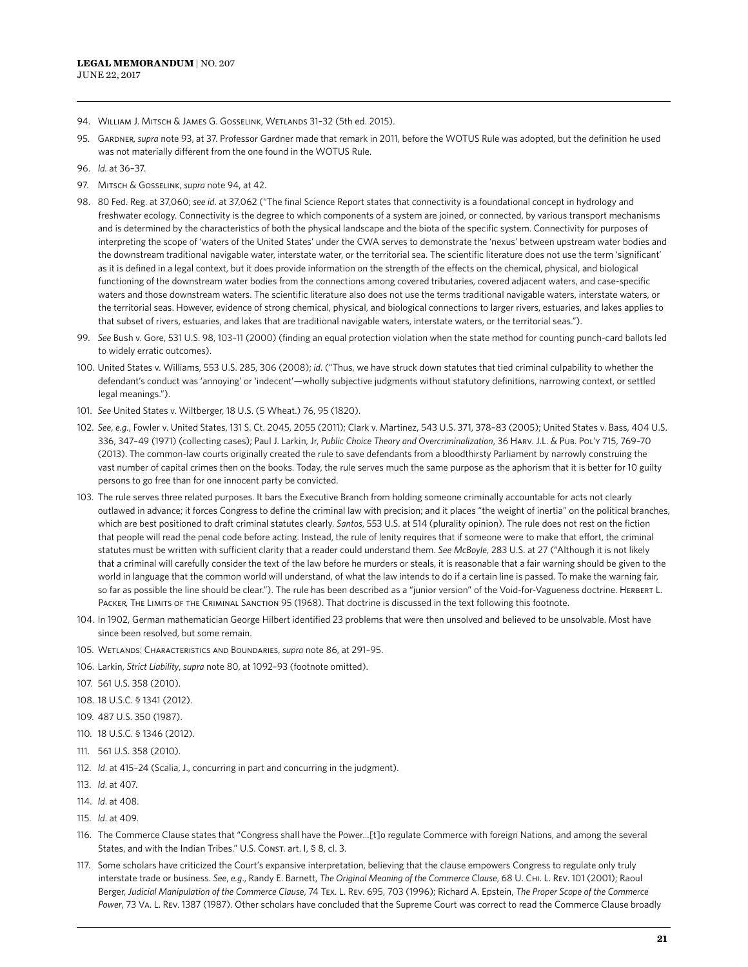- 94. WILLIAM J. MITSCH & JAMES G. GOSSELINK, WETLANDS 31-32 (5th ed. 2015).
- 95. Gardner, *supra* note 93, at 37. Professor Gardner made that remark in 2011, before the WOTUS Rule was adopted, but the definition he used was not materially different from the one found in the WOTUS Rule.
- 96. *Id.* at 36–37.
- 97. MITSCH & GOSSELINK, *supra* note 94, at 42.
- 98. 80 Fed. Reg. at 37,060; *see id*. at 37,062 ("The final Science Report states that connectivity is a foundational concept in hydrology and freshwater ecology. Connectivity is the degree to which components of a system are joined, or connected, by various transport mechanisms and is determined by the characteristics of both the physical landscape and the biota of the specific system. Connectivity for purposes of interpreting the scope of 'waters of the United States' under the CWA serves to demonstrate the 'nexus' between upstream water bodies and the downstream traditional navigable water, interstate water, or the territorial sea. The scientific literature does not use the term 'significant' as it is defined in a legal context, but it does provide information on the strength of the effects on the chemical, physical, and biological functioning of the downstream water bodies from the connections among covered tributaries, covered adjacent waters, and case-specific waters and those downstream waters. The scientific literature also does not use the terms traditional navigable waters, interstate waters, or the territorial seas. However, evidence of strong chemical, physical, and biological connections to larger rivers, estuaries, and lakes applies to that subset of rivers, estuaries, and lakes that are traditional navigable waters, interstate waters, or the territorial seas.").
- 99. *See* Bush v. Gore, 531 U.S. 98, 103–11 (2000) (finding an equal protection violation when the state method for counting punch-card ballots led to widely erratic outcomes).
- 100. United States v. Williams, 553 U.S. 285, 306 (2008); *id*. ("Thus, we have struck down statutes that tied criminal culpability to whether the defendant's conduct was 'annoying' or 'indecent'—wholly subjective judgments without statutory definitions, narrowing context, or settled legal meanings.").
- 101. *See* United States v. Wiltberger, 18 U.S. (5 Wheat.) 76, 95 (1820).
- 102. *See*, *e.g.*, Fowler v. United States, 131 S. Ct. 2045, 2055 (2011); Clark v. Martinez, 543 U.S. 371, 378–83 (2005); United States v. Bass, 404 U.S. 336, 347–49 (1971) (collecting cases); Paul J. Larkin, Jr, *Public Choice Theory and Overcriminalization*, 36 Harv. J.L. & Pub. Pol'y 715, 769–70 (2013). The common-law courts originally created the rule to save defendants from a bloodthirsty Parliament by narrowly construing the vast number of capital crimes then on the books. Today, the rule serves much the same purpose as the aphorism that it is better for 10 guilty persons to go free than for one innocent party be convicted.
- 103. The rule serves three related purposes. It bars the Executive Branch from holding someone criminally accountable for acts not clearly outlawed in advance; it forces Congress to define the criminal law with precision; and it places "the weight of inertia" on the political branches, which are best positioned to draft criminal statutes clearly. *Santos*, 553 U.S. at 514 (plurality opinion). The rule does not rest on the fiction that people will read the penal code before acting. Instead, the rule of lenity requires that if someone were to make that effort, the criminal statutes must be written with sufficient clarity that a reader could understand them. *See McBoyle*, 283 U.S. at 27 ("Although it is not likely that a criminal will carefully consider the text of the law before he murders or steals, it is reasonable that a fair warning should be given to the world in language that the common world will understand, of what the law intends to do if a certain line is passed. To make the warning fair, so far as possible the line should be clear."). The rule has been described as a "junior version" of the Void-for-Vagueness doctrine. HERBERT L. PACKER, THE LIMITS OF THE CRIMINAL SANCTION 95 (1968). That doctrine is discussed in the text following this footnote.
- 104. In 1902, German mathematician George Hilbert identified 23 problems that were then unsolved and believed to be unsolvable. Most have since been resolved, but some remain.
- 105. Wetlands: Characteristics and Boundaries, *supra* note 86, at 291–95.
- 106. Larkin, *Strict Liability*, *supra* note 80, at 1092–93 (footnote omitted).
- 107. 561 U.S. 358 (2010).
- 108. 18 U.S.C. § 1341 (2012).
- 109. 487 U.S. 350 (1987).
- 110. 18 U.S.C. § 1346 (2012).
- 111. 561 U.S. 358 (2010).
- 112. *Id*. at 415–24 (Scalia, J., concurring in part and concurring in the judgment).
- 113. *Id*. at 407.
- 114. *Id*. at 408.
- 115. *Id*. at 409.
- 116. The Commerce Clause states that "Congress shall have the Power…[t]o regulate Commerce with foreign Nations, and among the several States, and with the Indian Tribes." U.S. Const. art. I, § 8, cl. 3.
- 117. Some scholars have criticized the Court's expansive interpretation, believing that the clause empowers Congress to regulate only truly interstate trade or business. *See*, *e.g*., Randy E. Barnett, *The Original Meaning of the Commerce Clause*, 68 U. Chi. L. Rev. 101 (2001); Raoul Berger, *Judicial Manipulation of the Commerce Clause*, 74 Tex. L. Rev. 695, 703 (1996); Richard A. Epstein, *The Proper Scope of the Commerce Power*, 73 Va. L. Rev. 1387 (1987). Other scholars have concluded that the Supreme Court was correct to read the Commerce Clause broadly